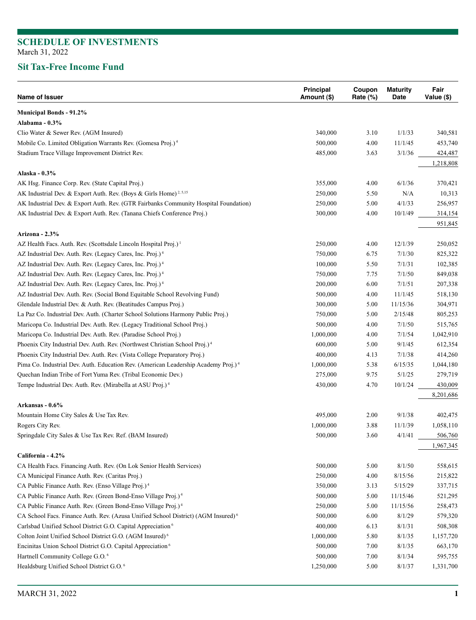### **Sit Tax-Free Income Fund**

| Name of Issuer                                                                                 | Principal<br>Amount (\$) | Coupon<br>Rate (%) | <b>Maturity</b><br>Date | Fair<br>Value (\$) |
|------------------------------------------------------------------------------------------------|--------------------------|--------------------|-------------------------|--------------------|
| <b>Municipal Bonds - 91.2%</b>                                                                 |                          |                    |                         |                    |
| Alabama - 0.3%                                                                                 |                          |                    |                         |                    |
| Clio Water & Sewer Rev. (AGM Insured)                                                          | 340,000                  | 3.10               | 1/1/33                  | 340,581            |
| Mobile Co. Limited Obligation Warrants Rev. (Gomesa Proj.) <sup>4</sup>                        | 500,000                  | 4.00               | 11/1/45                 | 453,740            |
| Stadium Trace Village Improvement District Rev.                                                | 485,000                  | 3.63               | 3/1/36                  | 424,487            |
|                                                                                                |                          |                    |                         | 1,218,808          |
| Alaska - 0.3%                                                                                  |                          |                    |                         |                    |
| AK Hsg. Finance Corp. Rev. (State Capital Proj.)                                               | 355,000                  | 4.00               | 6/1/36                  | 370,421            |
| AK Industrial Dev. & Export Auth. Rev. (Boys & Girls Home) <sup>2, 5,15</sup>                  | 250,000                  | 5.50               | $\rm N/A$               | 10,313             |
| AK Industrial Dev. & Export Auth. Rev. (GTR Fairbanks Community Hospital Foundation)           | 250,000                  | 5.00               | 4/1/33                  | 256,957            |
| AK Industrial Dev. & Export Auth. Rev. (Tanana Chiefs Conference Proj.)                        | 300,000                  | 4.00               | 10/1/49                 | 314,154            |
|                                                                                                |                          |                    |                         | 951,845            |
| Arizona - 2.3%                                                                                 |                          |                    |                         |                    |
| AZ Health Facs. Auth. Rev. (Scottsdale Lincoln Hospital Proj.) <sup>1</sup>                    | 250,000                  | 4.00               | 12/1/39                 | 250,052            |
| AZ Industrial Dev. Auth. Rev. (Legacy Cares, Inc. Proj.) <sup>4</sup>                          | 750,000                  | 6.75               | 7/1/30                  | 825,322            |
| AZ Industrial Dev. Auth. Rev. (Legacy Cares, Inc. Proj.) <sup>4</sup>                          | 100,000                  | 5.50               | 7/1/31                  | 102,385            |
| AZ Industrial Dev. Auth. Rev. (Legacy Cares, Inc. Proj.) <sup>4</sup>                          | 750,000                  | 7.75               | 7/1/50                  | 849,038            |
| AZ Industrial Dev. Auth. Rev. (Legacy Cares, Inc. Proj.) <sup>4</sup>                          | 200,000                  | 6.00               | 7/1/51                  | 207,338            |
| AZ Industrial Dev. Auth. Rev. (Social Bond Equitable School Revolving Fund)                    | 500,000                  | 4.00               | 11/1/45                 | 518,130            |
| Glendale Industrial Dev. & Auth. Rev. (Beatitudes Campus Proj.)                                | 300,000                  | 5.00               | 11/15/36                | 304,971            |
| La Paz Co. Industrial Dev. Auth. (Charter School Solutions Harmony Public Proj.)               | 750,000                  | 5.00               | 2/15/48                 | 805,253            |
| Maricopa Co. Industrial Dev. Auth. Rev. (Legacy Traditional School Proj.)                      | 500,000                  | 4.00               | 7/1/50                  | 515,765            |
| Maricopa Co. Industrial Dev. Auth. Rev. (Paradise School Proj.)                                | 1,000,000                | 4.00               | 7/1/54                  | 1,042,910          |
| Phoenix City Industrial Dev. Auth. Rev. (Northwest Christian School Proj.) <sup>4</sup>        | 600,000                  | 5.00               | 9/1/45                  | 612,354            |
| Phoenix City Industrial Dev. Auth. Rev. (Vista College Preparatory Proj.)                      | 400,000                  | 4.13               | 7/1/38                  | 414,260            |
| Pima Co. Industrial Dev. Auth. Education Rev. (American Leadership Academy Proj.) <sup>4</sup> | 1,000,000                | 5.38               | 6/15/35                 | 1,044,180          |
| Quechan Indian Tribe of Fort Yuma Rev. (Tribal Economic Dev.)                                  | 275,000                  | 9.75               | 5/1/25                  | 279,719            |
| Tempe Industrial Dev. Auth. Rev. (Mirabella at ASU Proj.) <sup>4</sup>                         | 430,000                  | 4.70               | 10/1/24                 | 430,009            |
|                                                                                                |                          |                    |                         | 8,201,686          |
| Arkansas - 0.6%                                                                                |                          |                    |                         |                    |
| Mountain Home City Sales & Use Tax Rev.                                                        | 495,000                  | 2.00               | 9/1/38                  | 402,475            |
| Rogers City Rev.                                                                               | 1,000,000                | 3.88               | 11/1/39                 | 1,058,110          |
| Springdale City Sales & Use Tax Rev. Ref. (BAM Insured)                                        | 500,000                  | 3.60               | 4/1/41                  | 506,760            |
|                                                                                                |                          |                    |                         | 1,967,345          |
| California - 4.2%                                                                              |                          |                    |                         |                    |
| CA Health Facs. Financing Auth. Rev. (On Lok Senior Health Services)                           | 500,000                  | 5.00               | 8/1/50                  | 558,615            |
| CA Municipal Finance Auth. Rev. (Caritas Proj.)                                                | 250,000                  | 4.00               | 8/15/56                 | 215,822            |
| CA Public Finance Auth. Rev. (Enso Village Proj.) <sup>4</sup>                                 | 350,000                  | 3.13               | 5/15/29                 | 337,715            |
| CA Public Finance Auth. Rev. (Green Bond-Enso Village Proj.) <sup>4</sup>                      | 500,000                  | 5.00               | 11/15/46                | 521,295            |
| CA Public Finance Auth. Rev. (Green Bond-Enso Village Proj.) <sup>4</sup>                      | 250,000                  | 5.00               | 11/15/56                | 258,473            |
| CA School Facs. Finance Auth. Rev. (Azusa Unified School District) (AGM Insured) <sup>6</sup>  | 500,000                  | 6.00               | 8/1/29                  | 579,320            |
| Carlsbad Unified School District G.O. Capital Appreciation <sup>6</sup>                        | 400,000                  | 6.13               | 8/1/31                  | 508,308            |
| Colton Joint Unified School District G.O. (AGM Insured) <sup>6</sup>                           | 1,000,000                | 5.80               | 8/1/35                  | 1,157,720          |
| Encinitas Union School District G.O. Capital Appreciation <sup>6</sup>                         | 500,000                  | 7.00               | 8/1/35                  | 663,170            |
| Hartnell Community College G.O. <sup>6</sup>                                                   | 500,000                  | 7.00               | 8/1/34                  | 595,755            |
| Healdsburg Unified School District G.O. <sup>6</sup>                                           | 1,250,000                | 5.00               | 8/1/37                  | 1,331,700          |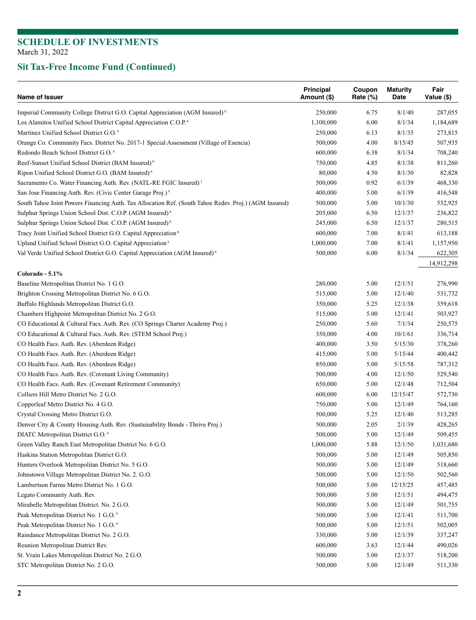| Name of Issuer                                                                                        | <b>Principal</b><br>Amount (\$) | Coupon<br>Rate $(\%)$ | <b>Maturity</b><br>Date | Fair<br>Value (\$) |
|-------------------------------------------------------------------------------------------------------|---------------------------------|-----------------------|-------------------------|--------------------|
| Imperial Community College District G.O. Capital Appreciation (AGM Insured) <sup>6</sup>              | 250,000                         | 6.75                  | 8/1/40                  | 287,055            |
| Los Alamitos Unified School District Capital Appreciation C.O.P. <sup>6</sup>                         | 1,100,000                       | 6.00                  | 8/1/34                  | 1,184,689          |
| Martinez Unified School District G.O. <sup>6</sup>                                                    | 250,000                         | 6.13                  | 8/1/35                  | 273,815            |
| Orange Co. Community Facs. District No. 2017-1 Special Assessment (Village of Esencia)                | 500,000                         | 4.00                  | 8/15/45                 | 507,935            |
| Redondo Beach School District G.O. <sup>6</sup>                                                       | 600,000                         | 6.38                  | 8/1/34                  | 708,240            |
| Reef-Sunset Unified School District (BAM Insured) <sup>6</sup>                                        | 750,000                         | 4.85                  | 8/1/38                  | 811,260            |
| Ripon Unified School District G.O. (BAM Insured) <sup>6</sup>                                         | 80,000                          | 4.50                  | 8/1/30                  | 82,828             |
| Sacramento Co. Water Financing Auth. Rev. (NATL-RE FGIC Insured) <sup>1</sup>                         | 500,000                         | 0.92                  | 6/1/39                  | 468,330            |
| San Jose Financing Auth. Rev. (Civic Center Garage Proj.) <sup>9</sup>                                | 400,000                         | 5.00                  | 6/1/39                  | 416,548            |
| South Tahoe Joint Powers Financing Auth. Tax Allocation Ref. (South Tahoe Redev. Proj.) (AGM Insured) | 500,000                         | 5.00                  | 10/1/30                 | 532,925            |
| Sulphur Springs Union School Dist. C.O.P. (AGM Insured) <sup>6</sup>                                  | 205,000                         | 6.50                  | 12/1/37                 | 236,822            |
| Sulphur Springs Union School Dist. C.O.P. (AGM Insured) <sup>6</sup>                                  | 245,000                         | 6.50                  | 12/1/37                 | 280,515            |
| Tracy Joint Unified School District G.O. Capital Appreciation <sup>6</sup>                            | 600,000                         | 7.00                  | 8/1/41                  | 613,188            |
| Upland Unified School District G.O. Capital Appreciation <sup>6</sup>                                 | 1,000,000                       | 7.00                  | 8/1/41                  | 1,157,950          |
| Val Verde Unified School District G.O. Capital Appreciation (AGM Insured) <sup>6</sup>                | 500,000                         | 6.00                  | 8/1/34                  | 622,305            |
|                                                                                                       |                                 |                       |                         | 14,912,298         |
| Colorado - 5.1%                                                                                       |                                 |                       |                         |                    |
| Baseline Metropolitan District No. 1 G.O.                                                             | 280,000                         | 5.00                  | 12/1/51                 | 276,990            |
| Brighton Crossing Metropolitan District No. 6 G.O.                                                    | 515,000                         | 5.00                  | 12/1/40                 | 531,732            |
| Buffalo Highlands Metropolitan District G.O.                                                          | 350,000                         | 5.25                  | 12/1/38                 | 359,618            |
| Chambers Highpoint Metropolitan District No. 2 G.O.                                                   | 515,000                         | 5.00                  | 12/1/41                 | 503,927            |
| CO Educational & Cultural Facs. Auth. Rev. (CO Springs Charter Academy Proj.)                         | 250,000                         | 5.60                  | 7/1/34                  | 250,575            |
| CO Educational & Cultural Facs. Auth. Rev. (STEM School Proj.)                                        | 350,000                         | 4.00                  | 10/1/61                 | 336,714            |
| CO Health Facs. Auth. Rev. (Aberdeen Ridge)                                                           | 400,000                         | 3.50                  | 5/15/30                 | 378,260            |
| CO Health Facs. Auth. Rev. (Aberdeen Ridge)                                                           | 415,000                         | 5.00                  | 5/15/44                 | 400,442            |
| CO Health Facs. Auth. Rev. (Aberdeen Ridge)                                                           | 850,000                         | 5.00                  | 5/15/58                 | 787,312            |
| CO Health Facs. Auth. Rev. (Covenant Living Community)                                                | 500,000                         | 4.00                  | 12/1/50                 | 529,540            |
| CO Health Facs. Auth. Rev. (Covenant Retirement Community)                                            | 650,000                         | 5.00                  | 12/1/48                 | 712,504            |
| Colliers Hill Metro District No. 2 G.O.                                                               | 600,000                         | 6.00                  | 12/15/47                | 572,730            |
| Copperleaf Metro District No. 4 G.O.                                                                  | 750,000                         | 5.00                  | 12/1/49                 | 764,160            |
| Crystal Crossing Metro District G.O.                                                                  | 500,000                         | 5.25                  | 12/1/40                 | 513,285            |
| Denver City & County Housing Auth. Rev. (Sustainability Bonds - Thrive Proj.)                         | 500,000                         | 2.05                  | 2/1/39                  | 428,265            |
| DIATC Metropolitan District G.O. <sup>4</sup>                                                         | 500,000                         | 5.00                  | 12/1/49                 | 509,455            |
| Green Valley Ranch East Metropolitan District No. 6 G.O.                                              | 1,000,000                       | 5.88                  | 12/1/50                 | 1,031,680          |
| Haskins Station Metropolitan District G.O.                                                            | 500,000                         | 5.00                  | 12/1/49                 | 505,850            |
| Hunters Overlook Metropolitan District No. 5 G.O.                                                     | 500,000                         | 5.00                  | 12/1/49                 | 518,660            |
| Johnstown Village Metropolitan District No. 2. G.O.                                                   | 500,000                         | 5.00                  | 12/1/50                 | 502,560            |
| Lambertson Farms Metro District No. 1 G.O.                                                            | 500,000                         | 5.00                  | 12/15/25                | 457,485            |
| Legato Community Auth. Rev.                                                                           | 500,000                         | 5.00                  | 12/1/51                 | 494,475            |
| Mirabelle Metropolitan District. No. 2 G.O.                                                           | 500,000                         | 5.00                  | 12/1/49                 | 501,755            |
| Peak Metropolitan District No. 1 G.O. <sup>4</sup>                                                    | 500,000                         | 5.00                  | 12/1/41                 | 511,700            |
| Peak Metropolitan District No. 1 G.O. <sup>4</sup>                                                    | 500,000                         | 5.00                  | 12/1/51                 | 502,005            |
| Raindance Metropolitan District No. 2 G.O.                                                            | 330,000                         | 5.00                  | 12/1/39                 | 337,247            |
|                                                                                                       |                                 |                       |                         |                    |
| Reunion Metropolitan District Rev.                                                                    | 600,000                         | 3.63                  | 12/1/44                 | 490,026            |
| St. Vrain Lakes Metropolitan District No. 2 G.O.                                                      | 500,000                         | 5.00                  | 12/1/37                 | 518,200            |
| STC Metropolitan District No. 2 G.O.                                                                  | 500,000                         | 5.00                  | 12/1/49                 | 511,330            |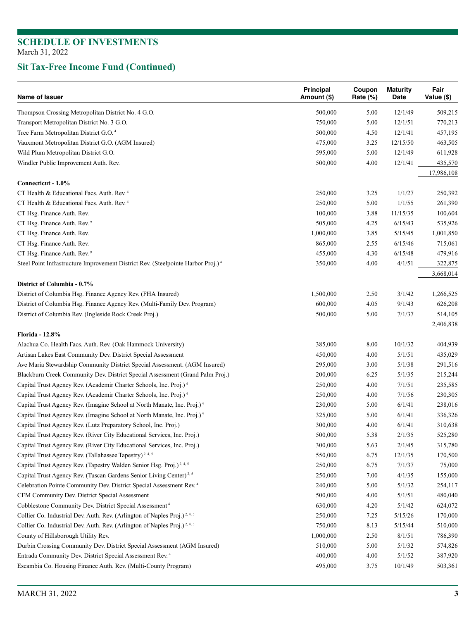| Name of Issuer                                                                                                                           | Principal<br>Amount (\$) | Coupon<br>Rate (%) | <b>Maturity</b><br>Date | Fair<br>Value (\$)   |
|------------------------------------------------------------------------------------------------------------------------------------------|--------------------------|--------------------|-------------------------|----------------------|
| Thompson Crossing Metropolitan District No. 4 G.O.                                                                                       | 500,000                  | 5.00               | 12/1/49                 | 509,215              |
| Transport Metropolitan District No. 3 G.O.                                                                                               | 750,000                  | 5.00               | 12/1/51                 | 770,213              |
| Tree Farm Metropolitan District G.O. <sup>4</sup>                                                                                        | 500,000                  | 4.50               | 12/1/41                 | 457,195              |
| Vauxmont Metropolitan District G.O. (AGM Insured)                                                                                        | 475,000                  | 3.25               | 12/15/50                | 463,505              |
| Wild Plum Metropolitan District G.O.                                                                                                     | 595,000                  | 5.00               | 12/1/49                 | 611,928              |
| Windler Public Improvement Auth. Rev.                                                                                                    | 500,000                  | 4.00               | 12/1/41                 | 435,570              |
|                                                                                                                                          |                          |                    |                         | 17,986,108           |
| Connecticut - 1.0%                                                                                                                       |                          |                    |                         |                      |
| CT Health & Educational Facs. Auth. Rev. <sup>4</sup>                                                                                    | 250,000                  | 3.25               | 1/1/27                  | 250,392              |
| CT Health & Educational Facs. Auth. Rev. <sup>4</sup>                                                                                    | 250,000                  | 5.00               | 1/1/55                  | 261,390              |
| CT Hsg. Finance Auth. Rev.                                                                                                               | 100,000                  | 3.88               | 11/15/35                | 100,604              |
| CT Hsg. Finance Auth. Rev. <sup>9</sup>                                                                                                  | 505,000                  | 4.25               | 6/15/43                 | 535,926              |
| CT Hsg. Finance Auth. Rev.                                                                                                               | 1,000,000                | 3.85               | 5/15/45                 | 1,001,850            |
| CT Hsg. Finance Auth. Rev.                                                                                                               | 865,000                  | 2.55               | 6/15/46                 | 715,061              |
| CT Hsg. Finance Auth. Rev. <sup>9</sup>                                                                                                  | 455,000                  | 4.30               | 6/15/48                 | 479,916              |
| Steel Point Infrastructure Improvement District Rev. (Steelpointe Harbor Proj.) <sup>4</sup>                                             | 350,000                  | 4.00               | 4/1/51                  | 322,875              |
|                                                                                                                                          |                          |                    |                         | 3,668,014            |
| District of Columbia - 0.7%                                                                                                              | 1,500,000                |                    | 3/1/42                  |                      |
| District of Columbia Hsg. Finance Agency Rev. (FHA Insured)<br>District of Columbia Hsg. Finance Agency Rev. (Multi-Family Dev. Program) |                          | 2.50               |                         | 1,266,525            |
|                                                                                                                                          | 600,000                  | 4.05               | 9/1/43                  | 626,208              |
| District of Columbia Rev. (Ingleside Rock Creek Proj.)                                                                                   | 500,000                  | 5.00               | 7/1/37                  | 514,105<br>2,406,838 |
| <b>Florida - 12.8%</b>                                                                                                                   |                          |                    |                         |                      |
| Alachua Co. Health Facs. Auth. Rev. (Oak Hammock University)                                                                             | 385,000                  | 8.00               | 10/1/32                 | 404,939              |
| Artisan Lakes East Community Dev. District Special Assessment                                                                            | 450,000                  | 4.00               | 5/1/51                  | 435,029              |
| Ave Maria Stewardship Community District Special Assessment. (AGM Insured)                                                               | 295,000                  | 3.00               | 5/1/38                  | 291,516              |
| Blackburn Creek Community Dev. District Special Assessment (Grand Palm Proj.)                                                            | 200,000                  | 6.25               | 5/1/35                  | 215,244              |
| Capital Trust Agency Rev. (Academir Charter Schools, Inc. Proj.) <sup>4</sup>                                                            | 250,000                  | 4.00               | 7/1/51                  | 235,585              |
| Capital Trust Agency Rev. (Academir Charter Schools, Inc. Proj.) <sup>4</sup>                                                            | 250,000                  | 4.00               | 7/1/56                  | 230,305              |
| Capital Trust Agency Rev. (Imagine School at North Manate, Inc. Proj.) <sup>4</sup>                                                      | 230,000                  | 5.00               | 6/1/41                  | 238,016              |
| Capital Trust Agency Rev. (Imagine School at North Manate, Inc. Proj.) <sup>4</sup>                                                      | 325,000                  | 5.00               | 6/1/41                  | 336,326              |
| Capital Trust Agency Rev. (Lutz Preparatory School, Inc. Proj.)                                                                          | 300,000                  | 4.00               | 6/1/41                  | 310,638              |
| Capital Trust Agency Rev. (River City Educational Services, Inc. Proj.)                                                                  | 500,000                  | 5.38               | 2/1/35                  | 525,280              |
| Capital Trust Agency Rev. (River City Educational Services, Inc. Proj.)                                                                  | 300,000                  | 5.63               | 2/1/45                  | 315,780              |
| Capital Trust Agency Rev. (Tallahassee Tapestry) <sup>2, 4, 5</sup>                                                                      | 550,000                  | 6.75               | 12/1/35                 | 170,500              |
| Capital Trust Agency Rev. (Tapestry Walden Senior Hsg. Proj.) <sup>2,4,5</sup>                                                           | 250,000                  | 6.75               | 7/1/37                  | 75,000               |
| Capital Trust Agency Rev. (Tuscan Gardens Senior Living Center) <sup>2,5</sup>                                                           | 250,000                  | 7.00               | 4/1/35                  | 155,000              |
| Celebration Pointe Community Dev. District Special Assessment Rev. <sup>4</sup>                                                          | 240,000                  | 5.00               | 5/1/32                  | 254,117              |
| CFM Community Dev. District Special Assessment                                                                                           | 500,000                  | 4.00               | 5/1/51                  | 480,040              |
| Cobblestone Community Dev. District Special Assessment <sup>4</sup>                                                                      | 630,000                  | 4.20               | 5/1/42                  | 624,072              |
| Collier Co. Industrial Dev. Auth. Rev. (Arlington of Naples Proj.) <sup>2,4,5</sup>                                                      | 250,000                  | 7.25               | 5/15/26                 | 170,000              |
| Collier Co. Industrial Dev. Auth. Rev. (Arlington of Naples Proj.) <sup>2,4,5</sup>                                                      | 750,000                  | 8.13               | 5/15/44                 | 510,000              |
| County of Hillsborough Utility Rev.                                                                                                      | 1,000,000                | 2.50               | 8/1/51                  | 786,390              |
| Durbin Crossing Community Dev. District Special Assessment (AGM Insured)                                                                 | 510,000                  | 5.00               | 5/1/32                  | 574,826              |
| Entrada Community Dev. District Special Assessment Rev. <sup>4</sup>                                                                     | 400,000                  | 4.00               | 5/1/52                  | 387,920              |
| Escambia Co. Housing Finance Auth. Rev. (Multi-County Program)                                                                           | 495,000                  | 3.75               | 10/1/49                 | 503,361              |
|                                                                                                                                          |                          |                    |                         |                      |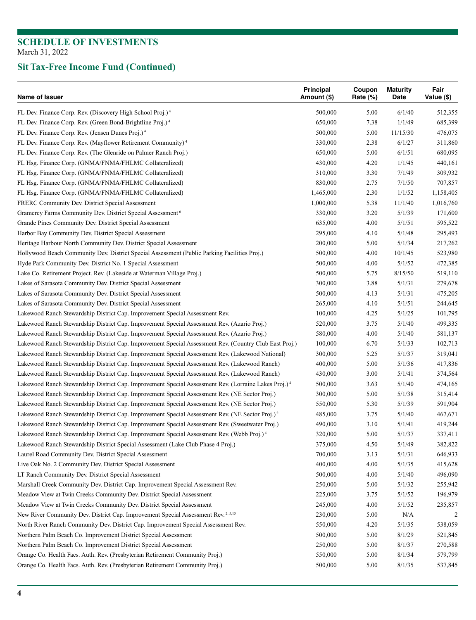| Name of Issuer                                                                                                   | Principal<br>Amount (\$) | Coupon<br>Rate (%) | <b>Maturity</b><br>Date | Fair<br>Value (\$) |
|------------------------------------------------------------------------------------------------------------------|--------------------------|--------------------|-------------------------|--------------------|
| FL Dev. Finance Corp. Rev. (Discovery High School Proj.) <sup>4</sup>                                            | 500,000                  | 5.00               | 6/1/40                  | 512,355            |
| FL Dev. Finance Corp. Rev. (Green Bond-Brightline Proj.) <sup>4</sup>                                            | 650,000                  | 7.38               | 1/1/49                  | 685,399            |
| FL Dev. Finance Corp. Rev. (Jensen Dunes Proj.) <sup>4</sup>                                                     | 500,000                  | 5.00               | 11/15/30                | 476,075            |
| FL Dev. Finance Corp. Rev. (Mayflower Retirement Community) <sup>4</sup>                                         | 330,000                  | 2.38               | 6/1/27                  | 311,860            |
| FL Dev. Finance Corp. Rev. (The Glenride on Palmer Ranch Proj.)                                                  | 650,000                  | 5.00               | 6/1/51                  | 680,095            |
| FL Hsg. Finance Corp. (GNMA/FNMA/FHLMC Collateralized)                                                           | 430,000                  | 4.20               | 1/1/45                  | 440,161            |
| FL Hsg. Finance Corp. (GNMA/FNMA/FHLMC Collateralized)                                                           | 310,000                  | 3.30               | 7/1/49                  | 309,932            |
| FL Hsg. Finance Corp. (GNMA/FNMA/FHLMC Collateralized)                                                           | 830,000                  | 2.75               | 7/1/50                  | 707,857            |
| FL Hsg. Finance Corp. (GNMA/FNMA/FHLMC Collateralized)                                                           | 1,465,000                | 2.30               | 1/1/52                  | 1,158,405          |
| FRERC Community Dev. District Special Assessment                                                                 | 1,000,000                | 5.38               | 11/1/40                 | 1,016,760          |
| Gramercy Farms Community Dev. District Special Assessment <sup>6</sup>                                           | 330,000                  | 3.20               | 5/1/39                  | 171,600            |
| Grande Pines Community Dev. District Special Assessment                                                          | 635,000                  | 4.00               | 5/1/51                  | 595,522            |
| Harbor Bay Community Dev. District Special Assessment                                                            | 295,000                  | 4.10               | 5/1/48                  | 295,493            |
| Heritage Harbour North Community Dev. District Special Assessment                                                | 200,000                  | 5.00               | 5/1/34                  | 217,262            |
| Hollywood Beach Community Dev. District Special Assessment (Public Parking Facilities Proj.)                     | 500,000                  | 4.00               | 10/1/45                 | 523,980            |
| Hyde Park Community Dev. District No. 1 Special Assessment                                                       | 500,000                  | 4.00               | 5/1/52                  | 472,385            |
| Lake Co. Retirement Project. Rev. (Lakeside at Waterman Village Proj.)                                           | 500,000                  | 5.75               | 8/15/50                 | 519,110            |
| Lakes of Sarasota Community Dev. District Special Assessment                                                     | 300,000                  | 3.88               | 5/1/31                  | 279,678            |
| Lakes of Sarasota Community Dev. District Special Assessment                                                     | 500,000                  | 4.13               | 5/1/31                  | 475,205            |
| Lakes of Sarasota Community Dev. District Special Assessment                                                     | 265,000                  | 4.10               | 5/1/51                  | 244,645            |
| Lakewood Ranch Stewardship District Cap. Improvement Special Assessment Rev.                                     | 100,000                  | 4.25               | 5/1/25                  | 101,795            |
| Lakewood Ranch Stewardship District Cap. Improvement Special Assessment Rev. (Azario Proj.)                      | 520,000                  | 3.75               | 5/1/40                  | 499,335            |
| Lakewood Ranch Stewardship District Cap. Improvement Special Assessment Rev. (Azario Proj.)                      | 580,000                  | 4.00               | 5/1/40                  | 581,137            |
| Lakewood Ranch Stewardship District Cap. Improvement Special Assessment Rev. (Country Club East Proj.)           | 100,000                  | 6.70               | 5/1/33                  | 102,713            |
| Lakewood Ranch Stewardship District Cap. Improvement Special Assessment Rev. (Lakewood National)                 | 300,000                  | 5.25               | 5/1/37                  | 319,041            |
| Lakewood Ranch Stewardship District Cap. Improvement Special Assessment Rev. (Lakewood Ranch)                    | 400,000                  | 5.00               | 5/1/36                  | 417,836            |
| Lakewood Ranch Stewardship District Cap. Improvement Special Assessment Rev. (Lakewood Ranch)                    | 430,000                  | 3.00               | 5/1/41                  | 374,564            |
| Lakewood Ranch Stewardship District Cap. Improvement Special Assessment Rev. (Lorraine Lakes Proj.) <sup>4</sup> | 500,000                  | 3.63               | 5/1/40                  | 474,165            |
| Lakewood Ranch Stewardship District Cap. Improvement Special Assessment Rev. (NE Sector Proj.)                   | 300,000                  | 5.00               | 5/1/38                  | 315,414            |
| Lakewood Ranch Stewardship District Cap. Improvement Special Assessment Rev. (NE Sector Proj.)                   | 550,000                  | 5.30               | 5/1/39                  | 591,904            |
| Lakewood Ranch Stewardship District Cap. Improvement Special Assessment Rev. (NE Sector Proj.) <sup>4</sup>      | 485,000                  | 3.75               | 5/1/40                  | 467,671            |
| Lakewood Ranch Stewardship District Cap. Improvement Special Assessment Rev. (Sweetwater Proj.)                  | 490,000                  | 3.10               | 5/1/41                  | 419,244            |
| Lakewood Ranch Stewardship District Cap. Improvement Special Assessment Rev. (Webb Proj.) <sup>4</sup>           | 320,000                  | 5.00               | 5/1/37                  | 337,411            |
| Lakewood Ranch Stewardship District Special Assessment (Lake Club Phase 4 Proj.)                                 | 375,000                  | 4.50               | 5/1/49                  | 382,822            |
| Laurel Road Community Dev. District Special Assessment                                                           | 700,000                  | 3.13               | 5/1/31                  | 646,933            |
| Live Oak No. 2 Community Dev. District Special Assessment                                                        | 400,000                  | 4.00               | 5/1/35                  | 415,628            |
| LT Ranch Community Dev. District Special Assessment                                                              | 500,000                  | 4.00               | 5/1/40                  | 496,090            |
| Marshall Creek Community Dev. District Cap. Improvement Special Assessment Rev.                                  | 250,000                  | 5.00               | 5/1/32                  | 255,942            |
| Meadow View at Twin Creeks Community Dev. District Special Assessment                                            | 225,000                  | 3.75               | 5/1/52                  | 196,979            |
| Meadow View at Twin Creeks Community Dev. District Special Assessment                                            | 245,000                  | 4.00               | 5/1/52                  | 235,857            |
| New River Community Dev. District Cap. Improvement Special Assessment Rev. <sup>2,5,15</sup>                     | 230,000                  | 5.00               | N/A                     |                    |
| North River Ranch Community Dev. District Cap. Improvement Special Assessment Rev.                               | 550,000                  | 4.20               | 5/1/35                  | 538,059            |
| Northern Palm Beach Co. Improvement District Special Assessment                                                  | 500,000                  | 5.00               | 8/1/29                  | 521,845            |
| Northern Palm Beach Co. Improvement District Special Assessment                                                  | 250,000                  | 5.00               | 8/1/37                  | 270,588            |
| Orange Co. Health Facs. Auth. Rev. (Presbyterian Retirement Community Proj.)                                     | 550,000                  | 5.00               | 8/1/34                  | 579,799            |
| Orange Co. Health Facs. Auth. Rev. (Presbyterian Retirement Community Proj.)                                     | 500,000                  | 5.00               | 8/1/35                  | 537,845            |
|                                                                                                                  |                          |                    |                         |                    |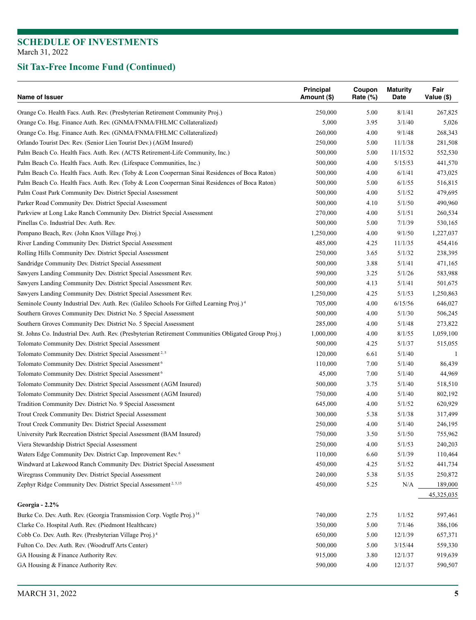| Name of Issuer                                                                                       | <b>Principal</b><br>Amount (\$) | Coupon<br>Rate (%) | <b>Maturity</b><br>Date | Fair<br>Value (\$) |
|------------------------------------------------------------------------------------------------------|---------------------------------|--------------------|-------------------------|--------------------|
| Orange Co. Health Facs. Auth. Rev. (Presbyterian Retirement Community Proj.)                         | 250,000                         | 5.00               | 8/1/41                  | 267,825            |
| Orange Co. Hsg. Finance Auth. Rev. (GNMA/FNMA/FHLMC Collateralized)                                  | 5,000                           | 3.95               | 3/1/40                  | 5,026              |
| Orange Co. Hsg. Finance Auth. Rev. (GNMA/FNMA/FHLMC Collateralized)                                  | 260,000                         | 4.00               | 9/1/48                  | 268,343            |
| Orlando Tourist Dev. Rev. (Senior Lien Tourist Dev.) (AGM Insured)                                   | 250,000                         | 5.00               | 11/1/38                 | 281,508            |
| Palm Beach Co. Health Facs. Auth. Rev. (ACTS Retirement-Life Community, Inc.)                        | 500,000                         | 5.00               | 11/15/32                | 552,530            |
| Palm Beach Co. Health Facs. Auth. Rev. (Lifespace Communities, Inc.)                                 | 500,000                         | 4.00               | 5/15/53                 | 441,570            |
| Palm Beach Co. Health Facs. Auth. Rev. (Toby & Leon Cooperman Sinai Residences of Boca Raton)        | 500,000                         | 4.00               | 6/1/41                  | 473,025            |
| Palm Beach Co. Health Facs. Auth. Rev. (Toby & Leon Cooperman Sinai Residences of Boca Raton)        | 500,000                         | 5.00               | 6/1/55                  | 516,815            |
| Palm Coast Park Community Dev. District Special Assessment                                           | 500,000                         | 4.00               | 5/1/52                  | 479,695            |
| Parker Road Community Dev. District Special Assessment                                               | 500,000                         | 4.10               | 5/1/50                  | 490,960            |
| Parkview at Long Lake Ranch Community Dev. District Special Assessment                               | 270,000                         | 4.00               | 5/1/51                  | 260,534            |
| Pinellas Co. Industrial Dev. Auth. Rev.                                                              | 500,000                         | 5.00               | 7/1/39                  | 530,165            |
| Pompano Beach, Rev. (John Knox Village Proj.)                                                        | 1,250,000                       | 4.00               | 9/1/50                  | 1,227,037          |
| River Landing Community Dev. District Special Assessment                                             | 485,000                         | 4.25               | 11/1/35                 | 454,416            |
| Rolling Hills Community Dev. District Special Assessment                                             | 250,000                         | 3.65               | 5/1/32                  | 238,395            |
| Sandridge Community Dev. District Special Assessment                                                 | 500,000                         | 3.88               | 5/1/41                  | 471,165            |
| Sawyers Landing Community Dev. District Special Assessment Rev.                                      | 590,000                         | 3.25               | 5/1/26                  | 583,988            |
| Sawyers Landing Community Dev. District Special Assessment Rev.                                      | 500,000                         | 4.13               | 5/1/41                  | 501,675            |
| Sawyers Landing Community Dev. District Special Assessment Rev.                                      | 1,250,000                       | 4.25               | 5/1/53                  | 1,250,863          |
| Seminole County Industrial Dev. Auth. Rev. (Galileo Schools For Gifted Learning Proj.) <sup>4</sup>  | 705,000                         | 4.00               | 6/15/56                 | 646,027            |
| Southern Groves Community Dev. District No. 5 Special Assessment                                     | 500,000                         | 4.00               | 5/1/30                  | 506,245            |
| Southern Groves Community Dev. District No. 5 Special Assessment                                     | 285,000                         | 4.00               | 5/1/48                  | 273,822            |
| St. Johns Co. Industrial Dev. Auth. Rev. (Presbyterian Retirement Communities Obligated Group Proj.) | 1,000,000                       | 4.00               | 8/1/55                  | 1,059,100          |
| Tolomato Community Dev. District Special Assessment                                                  | 500,000                         | 4.25               | 5/1/37                  | 515,055            |
| Tolomato Community Dev. District Special Assessment <sup>2, 5</sup>                                  | 120,000                         | 6.61               | 5/1/40                  |                    |
| Tolomato Community Dev. District Special Assessment <sup>6</sup>                                     | 110,000                         | 7.00               | 5/1/40                  | 86,439             |
| Tolomato Community Dev. District Special Assessment <sup>6</sup>                                     | 45,000                          | 7.00               | 5/1/40                  | 44,969             |
| Tolomato Community Dev. District Special Assessment (AGM Insured)                                    | 500,000                         | 3.75               | 5/1/40                  | 518,510            |
| Tolomato Community Dev. District Special Assessment (AGM Insured)                                    | 750,000                         | 4.00               | 5/1/40                  | 802,192            |
| Tradition Community Dev. District No. 9 Special Assessment                                           | 645,000                         | 4.00               | 5/1/52                  | 620,929            |
| Trout Creek Community Dev. District Special Assessment                                               | 300,000                         | 5.38               | 5/1/38                  | 317,499            |
| Trout Creek Community Dev. District Special Assessment                                               | 250,000                         | 4.00               | 5/1/40                  | 246,195            |
| University Park Recreation District Special Assessment (BAM Insured)                                 | 750,000                         | 3.50               | 5/1/50                  | 755,962            |
| Viera Stewardship District Special Assessment                                                        | 250,000                         | 4.00               | 5/1/53                  | 240,203            |
| Waters Edge Community Dev. District Cap. Improvement Rev. <sup>6</sup>                               | 110,000                         | 6.60               | 5/1/39                  | 110,464            |
| Windward at Lakewood Ranch Community Dev. District Special Assessment                                | 450,000                         | 4.25               | 5/1/52                  | 441,734            |
| Wiregrass Community Dev. District Special Assessment                                                 | 240,000                         | 5.38               | 5/1/35                  | 250,872            |
| Zephyr Ridge Community Dev. District Special Assessment <sup>2, 5,15</sup>                           | 450,000                         | 5.25               | N/A                     | 189,000            |
|                                                                                                      |                                 |                    |                         | 45,325,035         |
| Georgia - 2.2%                                                                                       |                                 |                    |                         |                    |
| Burke Co. Dev. Auth. Rev. (Georgia Transmission Corp. Vogtle Proj.) <sup>14</sup>                    | 740,000                         | 2.75               | 1/1/52                  | 597,461            |
| Clarke Co. Hospital Auth. Rev. (Piedmont Healthcare)                                                 | 350,000                         | 5.00               | 7/1/46                  | 386,106            |
| Cobb Co. Dev. Auth. Rev. (Presbyterian Village Proj.) <sup>4</sup>                                   | 650,000                         | 5.00               | 12/1/39                 | 657,371            |
| Fulton Co. Dev. Auth. Rev. (Woodruff Arts Center)                                                    | 500,000                         | 5.00               | 3/15/44                 | 559,330            |
| GA Housing & Finance Authority Rev.                                                                  | 915,000                         | 3.80               | 12/1/37                 | 919,639            |
| GA Housing & Finance Authority Rev.                                                                  | 590,000                         | 4.00               | 12/1/37                 | 590,507            |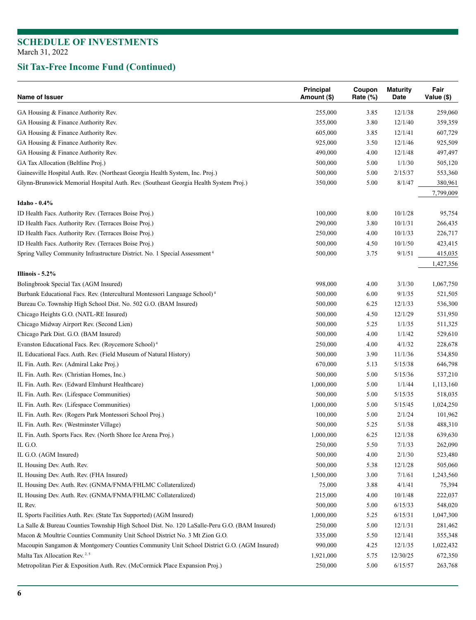| Name of Issuer                                                                                | Principal<br>Amount (\$) | Coupon<br>Rate $(\%)$ | <b>Maturity</b><br>Date | Fair<br>Value (\$) |
|-----------------------------------------------------------------------------------------------|--------------------------|-----------------------|-------------------------|--------------------|
| GA Housing & Finance Authority Rev.                                                           | 255,000                  | 3.85                  | 12/1/38                 | 259,060            |
| GA Housing & Finance Authority Rev.                                                           | 355,000                  | 3.80                  | 12/1/40                 | 359,359            |
| GA Housing & Finance Authority Rev.                                                           | 605,000                  | 3.85                  | 12/1/41                 | 607,729            |
| GA Housing & Finance Authority Rev.                                                           | 925,000                  | 3.50                  | 12/1/46                 | 925,509            |
| GA Housing & Finance Authority Rev.                                                           | 490,000                  | 4.00                  | 12/1/48                 | 497,497            |
| GA Tax Allocation (Beltline Proj.)                                                            | 500,000                  | 5.00                  | 1/1/30                  | 505,120            |
| Gainesville Hospital Auth. Rev. (Northeast Georgia Health System, Inc. Proj.)                 | 500,000                  | 5.00                  | 2/15/37                 | 553,360            |
| Glynn-Brunswick Memorial Hospital Auth. Rev. (Southeast Georgia Health System Proj.)          | 350,000                  | 5.00                  | 8/1/47                  | 380,961            |
| Idaho - 0.4%                                                                                  |                          |                       |                         | 7,799,009          |
| ID Health Facs. Authority Rev. (Terraces Boise Proj.)                                         | 100,000                  | 8.00                  | 10/1/28                 | 95,754             |
| ID Health Facs. Authority Rev. (Terraces Boise Proj.)                                         | 290,000                  | 3.80                  | 10/1/31                 | 266,435            |
| ID Health Facs. Authority Rev. (Terraces Boise Proj.)                                         | 250,000                  | 4.00                  | 10/1/33                 | 226,717            |
| ID Health Facs. Authority Rev. (Terraces Boise Proj.)                                         | 500,000                  | 4.50                  | 10/1/50                 | 423,415            |
| Spring Valley Community Infrastructure District. No. 1 Special Assessment <sup>4</sup>        | 500,000                  | 3.75                  | 9/1/51                  | 415,035            |
|                                                                                               |                          |                       |                         | 1,427,356          |
| Illinois - $5.2\%$                                                                            |                          |                       |                         |                    |
| Bolingbrook Special Tax (AGM Insured)                                                         | 998,000                  | 4.00                  | 3/1/30                  | 1,067,750          |
| Burbank Educational Facs. Rev. (Intercultural Montessori Language School) <sup>4</sup>        | 500,000                  | 6.00                  | 9/1/35                  | 521,505            |
| Bureau Co. Township High School Dist. No. 502 G.O. (BAM Insured)                              | 500,000                  | 6.25                  | 12/1/33                 | 536,300            |
| Chicago Heights G.O. (NATL-RE Insured)                                                        | 500,000                  | 4.50                  | 12/1/29                 | 531,950            |
| Chicago Midway Airport Rev. (Second Lien)                                                     | 500,000                  | 5.25                  | 1/1/35                  | 511,325            |
| Chicago Park Dist. G.O. (BAM Insured)                                                         | 500,000                  | 4.00                  | 1/1/42                  | 529,610            |
| Evanston Educational Facs. Rev. (Roycemore School) <sup>4</sup>                               | 250,000                  | 4.00                  | 4/1/32                  | 228,678            |
| IL Educational Facs. Auth. Rev. (Field Museum of Natural History)                             | 500,000                  | 3.90                  | 11/1/36                 | 534,850            |
| IL Fin. Auth. Rev. (Admiral Lake Proj.)                                                       | 670,000                  | 5.13                  | 5/15/38                 | 646,798            |
| IL Fin. Auth. Rev. (Christian Homes, Inc.)                                                    | 500,000                  | 5.00                  | 5/15/36                 | 537,210            |
| IL Fin. Auth. Rev. (Edward Elmhurst Healthcare)                                               | 1,000,000                | 5.00                  | 1/1/44                  | 1,113,160          |
| IL Fin. Auth. Rev. (Lifespace Communities)                                                    | 500,000                  | 5.00                  | 5/15/35                 | 518,035            |
| IL Fin. Auth. Rev. (Lifespace Communities)                                                    | 1,000,000                | 5.00                  | 5/15/45                 | 1,024,250          |
| IL Fin. Auth. Rev. (Rogers Park Montessori School Proj.)                                      | 100,000                  | 5.00                  | 2/1/24                  | 101,962            |
| IL Fin. Auth. Rev. (Westminster Village)                                                      | 500,000                  | 5.25                  | 5/1/38                  | 488,310            |
| IL Fin. Auth. Sports Facs. Rev. (North Shore Ice Arena Proj.)                                 | 1,000,000                | 6.25                  | 12/1/38                 | 639,630            |
| IL G.O.                                                                                       | 250,000                  | 5.50                  | 7/1/33                  | 262,090            |
| IL G.O. (AGM Insured)                                                                         | 500,000                  | 4.00                  | 2/1/30                  | 523,480            |
| IL Housing Dev. Auth. Rev.                                                                    | 500,000                  | 5.38                  | 12/1/28                 | 505,060            |
| IL Housing Dev. Auth. Rev. (FHA Insured)                                                      | 1,500,000                | 3.00                  | 7/1/61                  | 1,243,560          |
| IL Housing Dev. Auth. Rev. (GNMA/FNMA/FHLMC Collateralized)                                   | 75,000                   | 3.88                  | 4/1/41                  | 75,394             |
| IL Housing Dev. Auth. Rev. (GNMA/FNMA/FHLMC Collateralized)                                   | 215,000                  | 4.00                  | 10/1/48                 | 222,037            |
| IL Rev.                                                                                       | 500,000                  | 5.00                  | 6/15/33                 | 548,020            |
| IL Sports Facilities Auth. Rev. (State Tax Supported) (AGM Insured)                           | 1,000,000                | 5.25                  | 6/15/31                 | 1,047,300          |
| La Salle & Bureau Counties Township High School Dist. No. 120 LaSalle-Peru G.O. (BAM Insured) | 250,000                  | 5.00                  | 12/1/31                 | 281,462            |
| Macon & Moultrie Counties Community Unit School District No. 3 Mt Zion G.O.                   | 335,000                  | 5.50                  | 12/1/41                 | 355,348            |
| Macoupin Sangamon & Montgomery Counties Community Unit School District G.O. (AGM Insured)     | 990,000                  | 4.25                  | 12/1/35                 | 1,022,432          |
| Malta Tax Allocation Rev. <sup>2,5</sup>                                                      | 1,921,000                | 5.75                  | 12/30/25                | 672,350            |
| Metropolitan Pier & Exposition Auth. Rev. (McCormick Place Expansion Proj.)                   | 250,000                  | 5.00                  | 6/15/57                 | 263,768            |
|                                                                                               |                          |                       |                         |                    |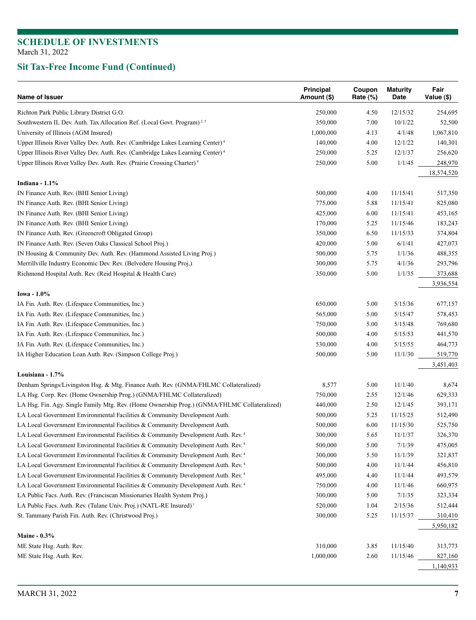| Name of Issuer                                                                               | Principal<br>Amount (\$) | Coupon<br>Rate (%) | <b>Maturity</b><br>Date | Fair<br>Value (\$) |
|----------------------------------------------------------------------------------------------|--------------------------|--------------------|-------------------------|--------------------|
| Richton Park Public Library District G.O.                                                    | 250,000                  | 4.50               | 12/15/32                | 254,695            |
| Southwestern IL Dev. Auth. Tax Allocation Ref. (Local Govt. Program) <sup>2,5</sup>          | 350,000                  | 7.00               | 10/1/22                 | 52,500             |
| University of Illinois (AGM Insured)                                                         | 1,000,000                | 4.13               | 4/1/48                  | 1,067,810          |
| Upper Illinois River Valley Dev. Auth. Rev. (Cambridge Lakes Learning Center) <sup>4</sup>   | 140,000                  | 4.00               | 12/1/22                 | 140,301            |
| Upper Illinois River Valley Dev. Auth. Rev. (Cambridge Lakes Learning Center) <sup>4</sup>   | 250,000                  | 5.25               | 12/1/37                 | 256,620            |
| Upper Illinois River Valley Dev. Auth. Rev. (Prairie Crossing Charter) <sup>4</sup>          | 250,000                  | 5.00               | 1/1/45                  | 248,970            |
|                                                                                              |                          |                    |                         | 18,574,520         |
| Indiana - $1.1\%$                                                                            |                          |                    |                         |                    |
| IN Finance Auth. Rev. (BHI Senior Living)                                                    | 500,000                  | 4.00               | 11/15/41                | 517,350            |
| IN Finance Auth. Rev. (BHI Senior Living)                                                    | 775,000                  | 5.88               | 11/15/41                | 825,080            |
| IN Finance Auth. Rev. (BHI Senior Living)                                                    | 425,000                  | 6.00               | 11/15/41                | 453,165            |
| IN Finance Auth. Rev. (BHI Senior Living)                                                    | 170,000                  | 5.25               | 11/15/46                | 183,243            |
| IN Finance Auth. Rev. (Greencroft Obligated Group)                                           | 350,000                  | 6.50               | 11/15/33                | 374,804            |
| IN Finance Auth. Rev. (Seven Oaks Classical School Proj.)                                    | 420,000                  | 5.00               | 6/1/41                  | 427,073            |
| IN Housing & Community Dev. Auth. Rev. (Hammond Assisted Living Proj.)                       | 500,000                  | 5.75               | 1/1/36                  | 488,355            |
| Merrillville Industry Economic Dev. Rev. (Belvedere Housing Proj.)                           | 300,000                  | 5.75               | 4/1/36                  | 293,796            |
| Richmond Hospital Auth. Rev. (Reid Hospital & Health Care)                                   | 350,000                  | 5.00               | 1/1/35                  | 373,688            |
|                                                                                              |                          |                    |                         | 3,936,554          |
| Iowa - 1.0%                                                                                  |                          |                    |                         |                    |
| IA Fin. Auth. Rev. (Lifespace Communities, Inc.)                                             | 650,000                  | 5.00               | 5/15/36                 | 677,157            |
| IA Fin. Auth. Rev. (Lifespace Communities, Inc.)                                             | 565,000                  | 5.00               | 5/15/47                 | 578,453            |
| IA Fin. Auth. Rev. (Lifespace Communities, Inc.)                                             | 750,000                  | 5.00               | 5/15/48                 | 769,680            |
| IA Fin. Auth. Rev. (Lifespace Communities, Inc.)                                             | 500,000                  | 4.00               | 5/15/53                 | 441,570            |
| IA Fin. Auth. Rev. (Lifespace Communities, Inc.)                                             | 530,000                  | 4.00               | 5/15/55                 | 464,773            |
| IA Higher Education Loan Auth. Rev. (Simpson College Proj.)                                  | 500,000                  | 5.00               | 11/1/30                 | 519,770            |
| Louisiana - 1.7%                                                                             |                          |                    |                         | 3,451,403          |
| Denham Springs/Livingston Hsg. & Mtg. Finance Auth. Rev. (GNMA/FHLMC Collateralized)         | 8,577                    | 5.00               | 11/1/40                 | 8,674              |
|                                                                                              |                          |                    |                         |                    |
| LA Hsg. Corp. Rev. (Home Ownership Prog.) (GNMA/FHLMC Collateralized)                        | 750,000                  | 2.55               | 12/1/46                 | 629,333            |
| LA Hsg. Fin. Agy. Single Family Mtg. Rev. (Home Ownership Prog.) (GNMA/FHLMC Collateralized) | 440,000                  | 2.50               | 12/1/45                 | 393,171            |
| LA Local Government Environmental Facilities & Community Development Auth.                   | 500,000                  | 5.25               | 11/15/25                | 512,490            |
| LA Local Government Environmental Facilities & Community Development Auth.                   | 500,000                  | 6.00               | 11/15/30                | 525,750            |
| LA Local Government Environmental Facilities & Community Development Auth. Rev. <sup>4</sup> | 300,000                  | 5.65               | 11/1/37                 | 326,370            |
| LA Local Government Environmental Facilities & Community Development Auth. Rev. <sup>4</sup> | 500,000                  | 5.00               | 7/1/39                  | 475,005            |
| LA Local Government Environmental Facilities & Community Development Auth. Rev. <sup>4</sup> | 300,000                  | 5.50               | 11/1/39                 | 321,837            |
| LA Local Government Environmental Facilities & Community Development Auth. Rev. <sup>4</sup> | 500,000                  | 4.00               | 11/1/44                 | 456,810            |
| LA Local Government Environmental Facilities & Community Development Auth. Rev. <sup>4</sup> | 495,000                  | 4.40               | 11/1/44                 | 493,579            |
| LA Local Government Environmental Facilities & Community Development Auth. Rev. <sup>4</sup> | 750,000                  | 4.00               | 11/1/46                 | 660,975            |
| LA Public Facs. Auth. Rev. (Franciscan Missionaries Health System Proj.)                     | 300,000                  | 5.00               | 7/1/35                  | 323,334            |
| LA Public Facs. Auth. Rev. (Tulane Univ. Proj.) (NATL-RE Insured) <sup>1</sup>               | 520,000                  | 1.04               | 2/15/36                 | 512,444            |
| St. Tammany Parish Fin. Auth. Rev. (Christwood Proj.)                                        | 300,000                  | 5.25               | 11/15/37                | 310,410            |
|                                                                                              |                          |                    |                         | 5,950,182          |
| Maine - 0.3%                                                                                 |                          |                    |                         |                    |
| ME State Hsg. Auth. Rev.                                                                     | 310,000                  | 3.85               | 11/15/40                | 313,773            |
| ME State Hsg. Auth. Rev.                                                                     | 1,000,000                | 2.60               | 11/15/46                | 827,160            |
|                                                                                              |                          |                    |                         | 1,140,933          |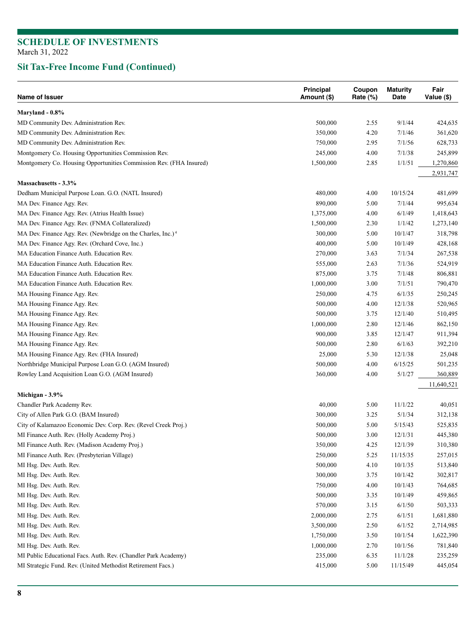| Name of Issuer                                                          | Principal<br>Amount (\$) | Coupon<br>Rate (%) | <b>Maturity</b><br>Date | Fair<br>Value (\$) |
|-------------------------------------------------------------------------|--------------------------|--------------------|-------------------------|--------------------|
| Maryland - 0.8%                                                         |                          |                    |                         |                    |
| MD Community Dev. Administration Rev.                                   | 500,000                  | 2.55               | 9/1/44                  | 424,635            |
| MD Community Dev. Administration Rev.                                   | 350,000                  | 4.20               | 7/1/46                  | 361,620            |
| MD Community Dev. Administration Rev.                                   | 750,000                  | 2.95               | 7/1/56                  | 628,733            |
| Montgomery Co. Housing Opportunities Commission Rev.                    | 245,000                  | 4.00               | 7/1/38                  | 245,899            |
| Montgomery Co. Housing Opportunities Commission Rev. (FHA Insured)      | 1,500,000                | 2.85               | 1/1/51                  | 1,270,860          |
|                                                                         |                          |                    |                         | 2,931,747          |
| Massachusetts - 3.3%                                                    |                          |                    |                         |                    |
| Dedham Municipal Purpose Loan. G.O. (NATL Insured)                      | 480,000                  | 4.00               | 10/15/24                | 481,699            |
| MA Dev. Finance Agy. Rev.                                               | 890,000                  | 5.00               | 7/1/44                  | 995,634            |
| MA Dev. Finance Agy. Rev. (Atrius Health Issue)                         | 1,375,000                | 4.00               | 6/1/49                  | 1,418,643          |
| MA Dev. Finance Agy. Rev. (FNMA Collateralized)                         | 1,500,000                | 2.30               | 1/1/42                  | 1,273,140          |
| MA Dev. Finance Agy. Rev. (Newbridge on the Charles, Inc.) <sup>4</sup> | 300,000                  | 5.00               | 10/1/47                 | 318,798            |
| MA Dev. Finance Agy. Rev. (Orchard Cove, Inc.)                          | 400,000                  | 5.00               | 10/1/49                 | 428,168            |
| MA Education Finance Auth. Education Rev.                               | 270,000                  | 3.63               | 7/1/34                  | 267,538            |
| MA Education Finance Auth. Education Rev.                               | 555,000                  | 2.63               | 7/1/36                  | 524,919            |
| MA Education Finance Auth. Education Rev.                               | 875,000                  | 3.75               | 7/1/48                  | 806,881            |
| MA Education Finance Auth. Education Rev.                               | 1,000,000                | 3.00               | 7/1/51                  | 790,470            |
| MA Housing Finance Agy. Rev.                                            | 250,000                  | 4.75               | 6/1/35                  | 250,245            |
| MA Housing Finance Agy. Rev.                                            | 500,000                  | 4.00               | 12/1/38                 | 520,965            |
| MA Housing Finance Agy. Rev.                                            | 500,000                  | 3.75               | 12/1/40                 | 510,495            |
| MA Housing Finance Agy. Rev.                                            | 1,000,000                | 2.80               | 12/1/46                 | 862,150            |
| MA Housing Finance Agy. Rev.                                            | 900,000                  | 3.85               | 12/1/47                 | 911,394            |
| MA Housing Finance Agy. Rev.                                            | 500,000                  | 2.80               | 6/1/63                  | 392,210            |
| MA Housing Finance Agy. Rev. (FHA Insured)                              | 25,000                   | 5.30               | 12/1/38                 | 25,048             |
| Northbridge Municipal Purpose Loan G.O. (AGM Insured)                   | 500,000                  | 4.00               | 6/15/25                 | 501,235            |
| Rowley Land Acquisition Loan G.O. (AGM Insured)                         | 360,000                  | 4.00               | 5/1/27                  | 360,889            |
|                                                                         |                          |                    |                         | 11,640,521         |
| Michigan - 3.9%                                                         |                          |                    |                         |                    |
| Chandler Park Academy Rev.                                              | 40,000                   | 5.00               | 11/1/22                 | 40,051             |
| City of Allen Park G.O. (BAM Insured)                                   | 300,000                  | 3.25               | 5/1/34                  | 312,138            |
| City of Kalamazoo Economic Dev. Corp. Rev. (Revel Creek Proj.)          | 500,000                  | 5.00               | 5/15/43                 | 525,835            |
| MI Finance Auth. Rev. (Holly Academy Proj.)                             | 500,000                  | 3.00               | 12/1/31                 | 445,380            |
| MI Finance Auth. Rev. (Madison Academy Proj.)                           | 350,000                  | 4.25               | 12/1/39                 | 310,380            |
| MI Finance Auth. Rev. (Presbyterian Village)                            | 250,000                  | 5.25               | 11/15/35                | 257,015            |
| MI Hsg. Dev. Auth. Rev.                                                 | 500,000                  | 4.10               | 10/1/35                 | 513,840            |
| MI Hsg. Dev. Auth. Rev.                                                 | 300,000                  | 3.75               | 10/1/42                 | 302,817            |
| MI Hsg. Dev. Auth. Rev.                                                 | 750,000                  | 4.00               | 10/1/43                 | 764,685            |
| MI Hsg. Dev. Auth. Rev.                                                 | 500,000                  | 3.35               | 10/1/49                 | 459,865            |
| MI Hsg. Dev. Auth. Rev.                                                 | 570,000                  | 3.15               | 6/1/50                  | 503,333            |
| MI Hsg. Dev. Auth. Rev.                                                 | 2,000,000                | 2.75               | 6/1/51                  | 1,681,880          |
| MI Hsg. Dev. Auth. Rev.                                                 | 3,500,000                | 2.50               | 6/1/52                  | 2,714,985          |
| MI Hsg. Dev. Auth. Rev.                                                 | 1,750,000                | 3.50               | 10/1/54                 | 1,622,390          |
| MI Hsg. Dev. Auth. Rev.                                                 | 1,000,000                | 2.70               | 10/1/56                 | 781,840            |
| MI Public Educational Facs. Auth. Rev. (Chandler Park Academy)          | 235,000                  | 6.35               | 11/1/28                 | 235,259            |
| MI Strategic Fund. Rev. (United Methodist Retirement Facs.)             | 415,000                  | 5.00               | 11/15/49                | 445,054            |
|                                                                         |                          |                    |                         |                    |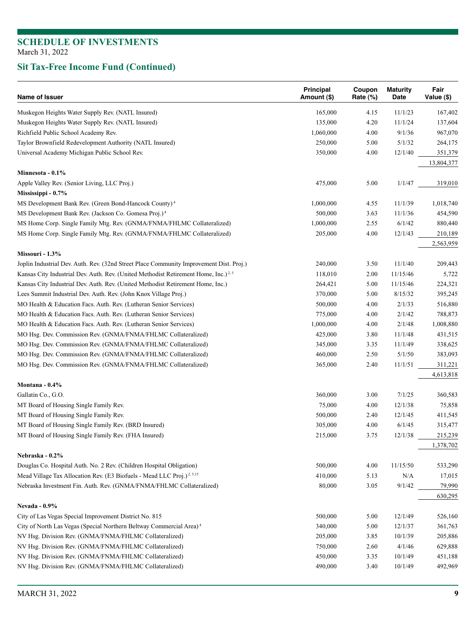| Name of Issuer                                                                                             | Principal<br>Amount (\$) | Coupon<br>Rate (%) | <b>Maturity</b><br>Date | Fair<br>Value (\$) |
|------------------------------------------------------------------------------------------------------------|--------------------------|--------------------|-------------------------|--------------------|
| Muskegon Heights Water Supply Rev. (NATL Insured)                                                          | 165,000                  | 4.15               | 11/1/23                 | 167,402            |
| Muskegon Heights Water Supply Rev. (NATL Insured)                                                          | 135,000                  | 4.20               | 11/1/24                 | 137,604            |
| Richfield Public School Academy Rev.                                                                       | 1,060,000                | 4.00               | 9/1/36                  | 967,070            |
| Taylor Brownfield Redevelopment Authority (NATL Insured)                                                   | 250,000                  | 5.00               | 5/1/32                  | 264,175            |
| Universal Academy Michigan Public School Rev.                                                              | 350,000                  | 4.00               | 12/1/40                 | 351,379            |
|                                                                                                            |                          |                    |                         | 13,804,377         |
| Minnesota - 0.1%                                                                                           |                          |                    |                         |                    |
| Apple Valley Rev. (Senior Living, LLC Proj.)                                                               | 475,000                  | 5.00               | 1/1/47                  | 319,010            |
| Mississippi - 0.7%                                                                                         |                          |                    |                         |                    |
| MS Development Bank Rev. (Green Bond-Hancock County) <sup>4</sup>                                          | 1,000,000                | 4.55               | 11/1/39                 | 1,018,740          |
| MS Development Bank Rev. (Jackson Co. Gomesa Proj.) <sup>4</sup>                                           | 500,000                  | 3.63               | 11/1/36                 | 454,590            |
| MS Home Corp. Single Family Mtg. Rev. (GNMA/FNMA/FHLMC Collateralized)                                     | 1,000,000                | 2.55               | 6/1/42                  | 880,440            |
| MS Home Corp. Single Family Mtg. Rev. (GNMA/FNMA/FHLMC Collateralized)                                     | 205,000                  | 4.00               | 12/1/43                 | 210,189            |
|                                                                                                            |                          |                    |                         | 2,563,959          |
| Missouri - 1.3%<br>Joplin Industrial Dev. Auth. Rev. (32nd Street Place Community Improvement Dist. Proj.) | 240,000                  | 3.50               | 11/1/40                 | 209,443            |
| Kansas City Industrial Dev. Auth. Rev. (United Methodist Retirement Home, Inc.) <sup>2,5</sup>             | 118,010                  | 2.00               | 11/15/46                | 5,722              |
| Kansas City Industrial Dev. Auth. Rev. (United Methodist Retirement Home, Inc.)                            | 264,421                  | 5.00               | 11/15/46                | 224,321            |
| Lees Summit Industrial Dev. Auth. Rev. (John Knox Village Proj.)                                           | 370,000                  | 5.00               | 8/15/32                 | 395,245            |
| MO Health & Education Facs. Auth. Rev. (Lutheran Senior Services)                                          | 500,000                  | 4.00               | 2/1/33                  | 516,880            |
| MO Health & Education Facs. Auth. Rev. (Lutheran Senior Services)                                          | 775,000                  | 4.00               | 2/1/42                  | 788,873            |
| MO Health & Education Facs. Auth. Rev. (Lutheran Senior Services)                                          | 1,000,000                | 4.00               | 2/1/48                  | 1,008,880          |
| MO Hsg. Dev. Commission Rev. (GNMA/FNMA/FHLMC Collateralized)                                              | 425,000                  | 3.80               | 11/1/48                 | 431,515            |
| MO Hsg. Dev. Commission Rev. (GNMA/FNMA/FHLMC Collateralized)                                              | 345,000                  | 3.35               | 11/1/49                 | 338,625            |
| MO Hsg. Dev. Commission Rev. (GNMA/FNMA/FHLMC Collateralized)                                              | 460,000                  | 2.50               | 5/1/50                  | 383,093            |
| MO Hsg. Dev. Commission Rev. (GNMA/FNMA/FHLMC Collateralized)                                              | 365,000                  | 2.40               | 11/1/51                 | 311,221            |
|                                                                                                            |                          |                    |                         | 4,613,818          |
| Montana - $0.4\%$                                                                                          |                          |                    |                         |                    |
| Gallatin Co., G.O.                                                                                         | 360,000                  | 3.00               | 7/1/25                  | 360,583            |
| MT Board of Housing Single Family Rev.                                                                     | 75,000                   | 4.00               | 12/1/38                 | 75,858             |
| MT Board of Housing Single Family Rev.                                                                     | 500,000                  | 2.40               | 12/1/45                 | 411,545            |
| MT Board of Housing Single Family Rev. (BRD Insured)                                                       | 305,000                  | 4.00               | 6/1/45                  | 315,477            |
| MT Board of Housing Single Family Rev. (FHA Insured)                                                       | 215,000                  | 3.75               | 12/1/38                 | 215,239            |
|                                                                                                            |                          |                    |                         | 1,378,702          |
| Nebraska - 0.2%                                                                                            |                          |                    |                         |                    |
| Douglas Co. Hospital Auth. No. 2 Rev. (Children Hospital Obligation)                                       | 500,000                  | 4.00               | 11/15/50                | 533,290            |
| Mead Village Tax Allocation Rev. (E3 Biofuels - Mead LLC Proj.) <sup>2, 5,15</sup>                         | 410,000                  | 5.13               | N/A                     | 17,015             |
| Nebraska Investment Fin. Auth. Rev. (GNMA/FNMA/FHLMC Collateralized)                                       | 80,000                   | 3.05               | 9/1/42                  | 79,990             |
|                                                                                                            |                          |                    |                         | 630,295            |
| <b>Nevada - 0.9%</b><br>City of Las Vegas Special Improvement District No. 815                             | 500,000                  | 5.00               | 12/1/49                 | 526,160            |
| City of North Las Vegas (Special Northern Beltway Commercial Area) <sup>4</sup>                            | 340,000                  | 5.00               | 12/1/37                 | 361,763            |
| NV Hsg. Division Rev. (GNMA/FNMA/FHLMC Collateralized)                                                     | 205,000                  | 3.85               | 10/1/39                 | 205,886            |
| NV Hsg. Division Rev. (GNMA/FNMA/FHLMC Collateralized)                                                     | 750,000                  | 2.60               | 4/1/46                  | 629,888            |
| NV Hsg. Division Rev. (GNMA/FNMA/FHLMC Collateralized)                                                     | 450,000                  | 3.35               | 10/1/49                 | 451,188            |
| NV Hsg. Division Rev. (GNMA/FNMA/FHLMC Collateralized)                                                     | 490,000                  | 3.40               | 10/1/49                 | 492,969            |
|                                                                                                            |                          |                    |                         |                    |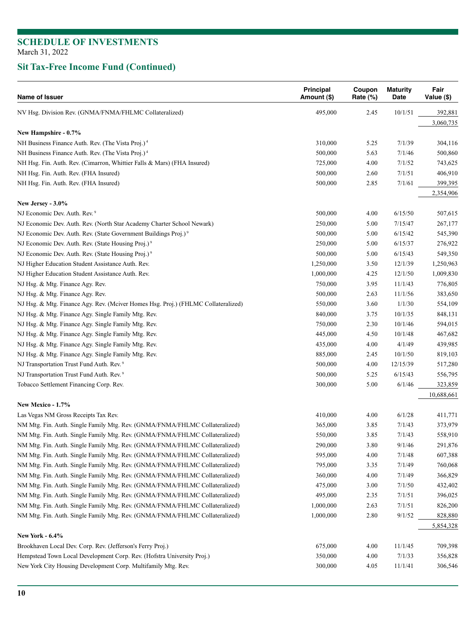| Name of Issuer                                                                       | Principal<br>Amount (\$) | Coupon<br>Rate (%) | <b>Maturity</b><br>Date | Fair<br>Value (\$) |
|--------------------------------------------------------------------------------------|--------------------------|--------------------|-------------------------|--------------------|
| NV Hsg. Division Rev. (GNMA/FNMA/FHLMC Collateralized)                               | 495,000                  | 2.45               | 10/1/51                 | 392,881            |
|                                                                                      |                          |                    |                         | 3,060,735          |
| New Hampshire - 0.7%                                                                 |                          |                    |                         |                    |
| NH Business Finance Auth. Rev. (The Vista Proj.) <sup>4</sup>                        | 310,000                  | 5.25               | 7/1/39                  | 304,116            |
| NH Business Finance Auth. Rev. (The Vista Proj.) <sup>4</sup>                        | 500,000                  | 5.63               | 7/1/46                  | 500,860            |
| NH Hsg. Fin. Auth. Rev. (Cimarron, Whittier Falls & Mars) (FHA Insured)              | 725,000                  | 4.00               | 7/1/52                  | 743,625            |
| NH Hsg. Fin. Auth. Rev. (FHA Insured)                                                | 500,000                  | 2.60               | 7/1/51                  | 406,910            |
| NH Hsg. Fin. Auth. Rev. (FHA Insured)                                                | 500,000                  | 2.85               | 7/1/61                  | 399,395            |
| New Jersey - 3.0%                                                                    |                          |                    |                         | 2,354,906          |
| NJ Economic Dev. Auth. Rev. <sup>9</sup>                                             | 500,000                  | 4.00               | 6/15/50                 | 507,615            |
| NJ Economic Dev. Auth. Rev. (North Star Academy Charter School Newark)               | 250,000                  | 5.00               | 7/15/47                 | 267,177            |
| NJ Economic Dev. Auth. Rev. (State Government Buildings Proj.) <sup>9</sup>          | 500,000                  | 5.00               | 6/15/42                 | 545,390            |
| NJ Economic Dev. Auth. Rev. (State Housing Proj.) <sup>9</sup>                       | 250,000                  | 5.00               | 6/15/37                 | 276,922            |
| NJ Economic Dev. Auth. Rev. (State Housing Proj.) <sup>9</sup>                       | 500,000                  | 5.00               | 6/15/43                 | 549,350            |
| NJ Higher Education Student Assistance Auth. Rev.                                    | 1,250,000                | 3.50               | 12/1/39                 | 1,250,963          |
| NJ Higher Education Student Assistance Auth. Rev.                                    | 1,000,000                | 4.25               | 12/1/50                 | 1,009,830          |
| NJ Hsg. & Mtg. Finance Agy. Rev.                                                     | 750,000                  | 3.95               | 11/1/43                 | 776,805            |
| NJ Hsg. & Mtg. Finance Agy. Rev.                                                     | 500,000                  | 2.63               | 11/1/56                 | 383,650            |
| NJ Hsg. & Mtg. Finance Agy. Rev. (Mciver Homes Hsg. Proj.) (FHLMC Collateralized)    | 550,000                  | 3.60               | 1/1/30                  | 554,109            |
| NJ Hsg. & Mtg. Finance Agy. Single Family Mtg. Rev.                                  | 840,000                  | 3.75               | 10/1/35                 | 848,131            |
| NJ Hsg. & Mtg. Finance Agy. Single Family Mtg. Rev.                                  | 750,000                  | 2.30               | 10/1/46                 | 594,015            |
| NJ Hsg. & Mtg. Finance Agy. Single Family Mtg. Rev.                                  | 445,000                  | 4.50               | 10/1/48                 | 467,682            |
| NJ Hsg. & Mtg. Finance Agy. Single Family Mtg. Rev.                                  | 435,000                  | 4.00               | 4/1/49                  | 439,985            |
| NJ Hsg. & Mtg. Finance Agy. Single Family Mtg. Rev.                                  | 885,000                  | 2.45               | 10/1/50                 | 819,103            |
| NJ Transportation Trust Fund Auth. Rev. <sup>9</sup>                                 | 500,000                  | 4.00               | 12/15/39                | 517,280            |
| NJ Transportation Trust Fund Auth. Rev. <sup>9</sup>                                 | 500,000                  | 5.25               | 6/15/43                 | 556,795            |
| Tobacco Settlement Financing Corp. Rev.                                              | 300,000                  | 5.00               | 6/1/46                  | 323,859            |
|                                                                                      |                          |                    |                         | 10,688,661         |
| New Mexico - 1.7%                                                                    |                          |                    |                         |                    |
| Las Vegas NM Gross Receipts Tax Rev.                                                 | 410,000                  | 4.00               | 6/1/28                  | 411,771            |
| NM Mtg. Fin. Auth. Single Family Mtg. Rev. (GNMA/FNMA/FHLMC Collateralized)          | 365,000                  | 3.85               | 7/1/43                  | 373,979            |
| NM Mtg. Fin. Auth. Single Family Mtg. Rev. (GNMA/FNMA/FHLMC Collateralized)          | 550,000                  | 3.85               | 7/1/43                  | 558,910            |
| NM Mtg. Fin. Auth. Single Family Mtg. Rev. (GNMA/FNMA/FHLMC Collateralized)          | 290,000                  | 3.80               | 9/1/46                  | 291,876            |
| NM Mtg. Fin. Auth. Single Family Mtg. Rev. (GNMA/FNMA/FHLMC Collateralized)          | 595,000                  | 4.00               | 7/1/48                  | 607,388            |
| NM Mtg. Fin. Auth. Single Family Mtg. Rev. (GNMA/FNMA/FHLMC Collateralized)          | 795,000                  | 3.35               | 7/1/49                  | 760,068            |
| NM Mtg. Fin. Auth. Single Family Mtg. Rev. (GNMA/FNMA/FHLMC Collateralized)          | 360,000                  | 4.00               | 7/1/49                  | 366,829            |
| NM Mtg. Fin. Auth. Single Family Mtg. Rev. (GNMA/FNMA/FHLMC Collateralized)          | 475,000                  | 3.00               | 7/1/50                  | 432,402            |
| NM Mtg. Fin. Auth. Single Family Mtg. Rev. (GNMA/FNMA/FHLMC Collateralized)          | 495,000                  | 2.35               | 7/1/51                  | 396,025            |
| NM Mtg. Fin. Auth. Single Family Mtg. Rev. (GNMA/FNMA/FHLMC Collateralized)          | 1,000,000                | 2.63               | 7/1/51                  | 826,200            |
| NM Mtg. Fin. Auth. Single Family Mtg. Rev. (GNMA/FNMA/FHLMC Collateralized)          | 1,000,000                | 2.80               | 9/1/52                  | 828,880            |
|                                                                                      |                          |                    |                         | 5,854,328          |
| <b>New York - 6.4%</b><br>Brookhaven Local Dev. Corp. Rev. (Jefferson's Ferry Proj.) | 675,000                  | 4.00               | 11/1/45                 | 709,398            |
| Hempstead Town Local Development Corp. Rev. (Hofstra University Proj.)               | 350,000                  | 4.00               | 7/1/33                  | 356,828            |
|                                                                                      |                          |                    |                         |                    |
| New York City Housing Development Corp. Multifamily Mtg. Rev.                        | 300,000                  | 4.05               | 11/1/41                 | 306,546            |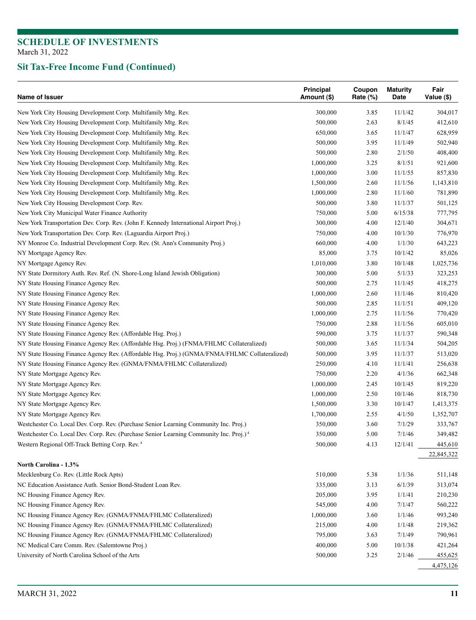| Name of Issuer                                                                                     | Principal<br>Amount (\$) | Coupon<br>Rate (%) | <b>Maturity</b><br>Date | Fair<br>Value (\$) |
|----------------------------------------------------------------------------------------------------|--------------------------|--------------------|-------------------------|--------------------|
| New York City Housing Development Corp. Multifamily Mtg. Rev.                                      | 300,000                  | 3.85               | 11/1/42                 | 304,017            |
| New York City Housing Development Corp. Multifamily Mtg. Rev.                                      | 500,000                  | 2.63               | 8/1/45                  | 412,610            |
| New York City Housing Development Corp. Multifamily Mtg. Rev.                                      | 650,000                  | 3.65               | 11/1/47                 | 628,959            |
| New York City Housing Development Corp. Multifamily Mtg. Rev.                                      | 500,000                  | 3.95               | 11/1/49                 | 502,940            |
| New York City Housing Development Corp. Multifamily Mtg. Rev.                                      | 500,000                  | 2.80               | 2/1/50                  | 408,400            |
| New York City Housing Development Corp. Multifamily Mtg. Rev.                                      | 1,000,000                | 3.25               | 8/1/51                  | 921,600            |
| New York City Housing Development Corp. Multifamily Mtg. Rev.                                      | 1,000,000                | 3.00               | 11/1/55                 | 857,830            |
| New York City Housing Development Corp. Multifamily Mtg. Rev.                                      | 1,500,000                | 2.60               | 11/1/56                 | 1,143,810          |
| New York City Housing Development Corp. Multifamily Mtg. Rev.                                      | 1,000,000                | 2.80               | 11/1/60                 | 781,890            |
| New York City Housing Development Corp. Rev.                                                       | 500,000                  | 3.80               | 11/1/37                 | 501,125            |
| New York City Municipal Water Finance Authority                                                    | 750,000                  | 5.00               | 6/15/38                 | 777,795            |
| New York Transportation Dev. Corp. Rev. (John F. Kennedy International Airport Proj.)              | 300,000                  | 4.00               | 12/1/40                 | 304,671            |
| New York Transportation Dev. Corp. Rev. (Laguardia Airport Proj.)                                  | 750,000                  | 4.00               | 10/1/30                 | 776,970            |
| NY Monroe Co. Industrial Development Corp. Rev. (St. Ann's Community Proj.)                        | 660,000                  | 4.00               | 1/1/30                  | 643,223            |
| NY Mortgage Agency Rev.                                                                            | 85,000                   | 3.75               | 10/1/42                 | 85,026             |
| NY Mortgage Agency Rev.                                                                            | 1,010,000                | 3.80               | 10/1/48                 | 1,025,736          |
| NY State Dormitory Auth. Rev. Ref. (N. Shore-Long Island Jewish Obligation)                        | 300,000                  | 5.00               | 5/1/33                  | 323,253            |
| NY State Housing Finance Agency Rev.                                                               | 500,000                  | 2.75               | 11/1/45                 | 418,275            |
| NY State Housing Finance Agency Rev.                                                               | 1,000,000                | 2.60               | 11/1/46                 | 810,420            |
| NY State Housing Finance Agency Rev.                                                               | 500,000                  | 2.85               | 11/1/51                 | 409,120            |
| NY State Housing Finance Agency Rev.                                                               | 1,000,000                | 2.75               | 11/1/56                 | 770,420            |
| NY State Housing Finance Agency Rev.                                                               | 750,000                  | 2.88               | 11/1/56                 | 605,010            |
| NY State Housing Finance Agency Rev. (Affordable Hsg. Proj.)                                       | 590,000                  | 3.75               | 11/1/37                 | 590,348            |
| NY State Housing Finance Agency Rev. (Affordable Hsg. Proj.) (FNMA/FHLMC Collateralized)           | 500,000                  | 3.65               | 11/1/34                 | 504,205            |
| NY State Housing Finance Agency Rev. (Affordable Hsg. Proj.) (GNMA/FNMA/FHLMC Collateralized)      | 500,000                  | 3.95               | 11/1/37                 | 513,020            |
| NY State Housing Finance Agency Rev. (GNMA/FNMA/FHLMC Collateralized)                              |                          | 4.10               | 11/1/41                 | 256,638            |
|                                                                                                    | 250,000                  |                    | 4/1/36                  |                    |
| NY State Mortgage Agency Rev.                                                                      | 750,000                  | 2.20               | 10/1/45                 | 662,348            |
| NY State Mortgage Agency Rev.                                                                      | 1,000,000                | 2.45               |                         | 819,220            |
| NY State Mortgage Agency Rev.                                                                      | 1,000,000                | 2.50               | 10/1/46                 | 818,730            |
| NY State Mortgage Agency Rev.                                                                      | 1,500,000                | 3.30               | 10/1/47                 | 1,413,375          |
| NY State Mortgage Agency Rev.                                                                      | 1,700,000                | 2.55               | 4/1/50                  | 1,352,707          |
| Westchester Co. Local Dev. Corp. Rev. (Purchase Senior Learning Community Inc. Proj.)              | 350,000                  | 3.60               | 7/1/29                  | 333,767            |
| Westchester Co. Local Dev. Corp. Rev. (Purchase Senior Learning Community Inc. Proj.) <sup>4</sup> | 350,000                  | 5.00               | 7/1/46                  | 349,482            |
| Western Regional Off-Track Betting Corp. Rev. 4                                                    | 500,000                  | 4.13               | 12/1/41                 | 445,610            |
| North Carolina - 1.3%                                                                              |                          |                    |                         | 22,845,322         |
| Mecklenburg Co. Rev. (Little Rock Apts)                                                            | 510,000                  | 5.38               | 1/1/36                  | 511,148            |
|                                                                                                    |                          |                    | 6/1/39                  |                    |
| NC Education Assistance Auth. Senior Bond-Student Loan Rev.                                        | 335,000                  | 3.13               |                         | 313,074            |
| NC Housing Finance Agency Rev.                                                                     | 205,000                  | 3.95               | 1/1/41                  | 210,230            |
| NC Housing Finance Agency Rev.                                                                     | 545,000                  | 4.00               | 7/1/47                  | 560,222            |
| NC Housing Finance Agency Rev. (GNMA/FNMA/FHLMC Collateralized)                                    | 1,000,000                | 3.60               | 1/1/46                  | 993,240            |
| NC Housing Finance Agency Rev. (GNMA/FNMA/FHLMC Collateralized)                                    | 215,000                  | 4.00               | 1/1/48                  | 219,362            |
| NC Housing Finance Agency Rev. (GNMA/FNMA/FHLMC Collateralized)                                    | 795,000                  | 3.63               | 7/1/49                  | 790,961            |
| NC Medical Care Comm. Rev. (Salemtowne Proj.)                                                      | 400,000                  | 5.00               | 10/1/38                 | 421,264            |
| University of North Carolina School of the Arts                                                    | 500,000                  | 3.25               | 2/1/46                  | 455,625            |
|                                                                                                    |                          |                    |                         | 4,475,126          |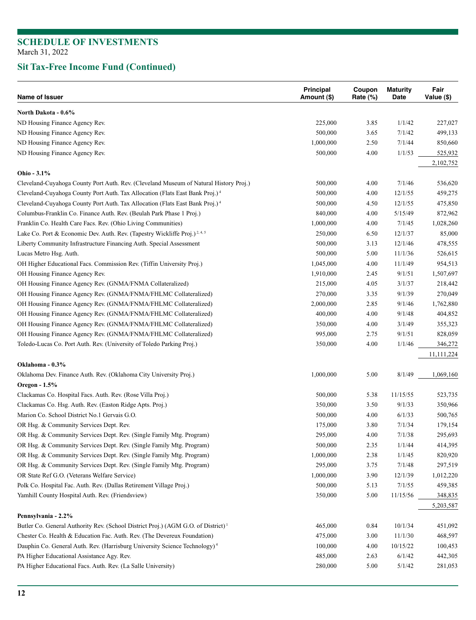| Name of Issuer                                                                                | Principal<br>Amount (\$) | Coupon<br>Rate $(\%)$ | <b>Maturity</b><br>Date | Fair<br>Value (\$) |
|-----------------------------------------------------------------------------------------------|--------------------------|-----------------------|-------------------------|--------------------|
| North Dakota - 0.6%                                                                           |                          |                       |                         |                    |
| ND Housing Finance Agency Rev.                                                                | 225,000                  | 3.85                  | 1/1/42                  | 227,027            |
| ND Housing Finance Agency Rev.                                                                | 500,000                  | 3.65                  | 7/1/42                  | 499,133            |
| ND Housing Finance Agency Rev.                                                                | 1,000,000                | 2.50                  | 7/1/44                  | 850,660            |
| ND Housing Finance Agency Rev.                                                                | 500,000                  | 4.00                  | 1/1/53                  | 525,932            |
|                                                                                               |                          |                       |                         | 2,102,752          |
| Ohio - 3.1%                                                                                   |                          |                       |                         |                    |
| Cleveland-Cuyahoga County Port Auth. Rev. (Cleveland Museum of Natural History Proj.)         | 500,000                  | 4.00                  | 7/1/46                  | 536,620            |
| Cleveland-Cuyahoga County Port Auth. Tax Allocation (Flats East Bank Proj.) <sup>4</sup>      | 500,000                  | 4.00                  | 12/1/55                 | 459,275            |
| Cleveland-Cuyahoga County Port Auth. Tax Allocation (Flats East Bank Proj.) <sup>4</sup>      | 500,000                  | 4.50                  | 12/1/55                 | 475,850            |
| Columbus-Franklin Co. Finance Auth. Rev. (Beulah Park Phase 1 Proj.)                          | 840,000                  | 4.00                  | 5/15/49                 | 872,962            |
| Franklin Co. Health Care Facs. Rev. (Ohio Living Communities)                                 | 1,000,000                | 4.00                  | 7/1/45                  | 1,028,260          |
| Lake Co. Port & Economic Dev. Auth. Rev. (Tapestry Wickliffe Proj.) <sup>2,4,5</sup>          | 250,000                  | 6.50                  | 12/1/37                 | 85,000             |
| Liberty Community Infrastructure Financing Auth. Special Assessment                           | 500,000                  | 3.13                  | 12/1/46                 | 478,555            |
| Lucas Metro Hsg. Auth.                                                                        | 500,000                  | 5.00                  | 11/1/36                 | 526,615            |
| OH Higher Educational Facs. Commission Rev. (Tiffin University Proj.)                         | 1,045,000                | 4.00                  | 11/1/49                 | 954,513            |
| OH Housing Finance Agency Rev.                                                                | 1,910,000                | 2.45                  | 9/1/51                  | 1,507,697          |
| OH Housing Finance Agency Rev. (GNMA/FNMA Collateralized)                                     | 215,000                  | 4.05                  | 3/1/37                  | 218,442            |
| OH Housing Finance Agency Rev. (GNMA/FNMA/FHLMC Collateralized)                               | 270,000                  | 3.35                  | 9/1/39                  | 270,049            |
| OH Housing Finance Agency Rev. (GNMA/FNMA/FHLMC Collateralized)                               | 2,000,000                | 2.85                  | 9/1/46                  | 1,762,880          |
| OH Housing Finance Agency Rev. (GNMA/FNMA/FHLMC Collateralized)                               | 400,000                  | 4.00                  | 9/1/48                  | 404,852            |
| OH Housing Finance Agency Rev. (GNMA/FNMA/FHLMC Collateralized)                               | 350,000                  | 4.00                  | 3/1/49                  | 355,323            |
| OH Housing Finance Agency Rev. (GNMA/FNMA/FHLMC Collateralized)                               | 995,000                  | 2.75                  | 9/1/51                  | 828,059            |
| Toledo-Lucas Co. Port Auth. Rev. (University of Toledo Parking Proj.)                         | 350,000                  | 4.00                  | 1/1/46                  | 346,272            |
|                                                                                               |                          |                       |                         | 11,111,224         |
| Oklahoma - 0.3%                                                                               |                          |                       |                         |                    |
| Oklahoma Dev. Finance Auth. Rev. (Oklahoma City University Proj.)                             | 1,000,000                | 5.00                  | 8/1/49                  | 1,069,160          |
| Oregon - 1.5%                                                                                 |                          |                       |                         |                    |
| Clackamas Co. Hospital Facs. Auth. Rev. (Rose Villa Proj.)                                    | 500,000                  | 5.38                  | 11/15/55                | 523,735            |
| Clackamas Co. Hsg. Auth. Rev. (Easton Ridge Apts. Proj.)                                      | 350,000                  | 3.50                  | 9/1/33                  | 350,966            |
| Marion Co. School District No.1 Gervais G.O.                                                  | 500,000                  | 4.00                  | 6/1/33                  | 500,765            |
| OR Hsg. & Community Services Dept. Rev.                                                       | 175,000                  | 3.80                  | 7/1/34                  | 179,154            |
| OR Hsg. & Community Services Dept. Rev. (Single Family Mtg. Program)                          | 295,000                  | 4.00                  | 7/1/38                  | 295,693            |
| OR Hsg. & Community Services Dept. Rev. (Single Family Mtg. Program)                          | 500,000                  | 2.35                  | 1/1/44                  | 414,395            |
| OR Hsg. & Community Services Dept. Rev. (Single Family Mtg. Program)                          | 1,000,000                | 2.38                  | 1/1/45                  | 820,920            |
| OR Hsg. & Community Services Dept. Rev. (Single Family Mtg. Program)                          | 295,000                  | 3.75                  | 7/1/48                  | 297,519            |
| OR State Ref G.O. (Veterans Welfare Service)                                                  | 1,000,000                | 3.90                  | 12/1/39                 | 1,012,220          |
| Polk Co. Hospital Fac. Auth. Rev. (Dallas Retirement Village Proj.)                           | 500,000                  | 5.13                  | 7/1/55                  | 459,385            |
| Yamhill County Hospital Auth. Rev. (Friendsview)                                              | 350,000                  | 5.00                  | 11/15/56                | 348,835            |
|                                                                                               |                          |                       |                         | 5,203,587          |
| Pennsylvania - 2.2%                                                                           |                          |                       |                         |                    |
| Butler Co. General Authority Rev. (School District Proj.) (AGM G.O. of District) <sup>1</sup> | 465,000                  | 0.84                  | 10/1/34                 | 451,092            |
| Chester Co. Health & Education Fac. Auth. Rev. (The Devereux Foundation)                      | 475,000                  | 3.00                  | 11/1/30                 | 468,597            |
| Dauphin Co. General Auth. Rev. (Harrisburg University Science Technology) <sup>4</sup>        | 100,000                  | 4.00                  | 10/15/22                | 100,453            |
| PA Higher Educational Assistance Agy. Rev.                                                    | 485,000                  | 2.63                  | 6/1/42                  | 442,305            |
| PA Higher Educational Facs. Auth. Rev. (La Salle University)                                  | 280,000                  | 5.00                  | 5/1/42                  | 281,053            |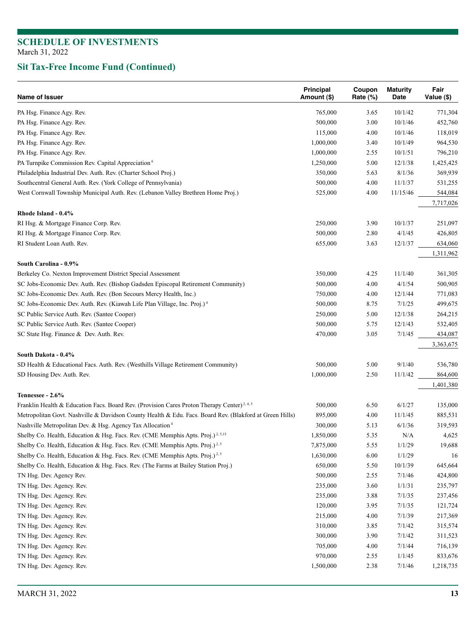| PA Hsg. Finance Agy. Rev.<br>765,000<br>10/1/42<br>771,304<br>3.65<br>PA Hsg. Finance Agy. Rev.<br>500,000<br>3.00<br>10/1/46<br>452,760<br>PA Hsg. Finance Agy. Rev.<br>4.00<br>10/1/46<br>118,019<br>115,000<br>PA Hsg. Finance Agy. Rev.<br>1,000,000<br>3.40<br>10/1/49<br>964,530<br>PA Hsg. Finance Agy. Rev.<br>1,000,000<br>2.55<br>10/1/51<br>796,210<br>PA Turnpike Commission Rev. Capital Appreciation <sup>6</sup><br>1,250,000<br>5.00<br>12/1/38<br>1,425,425<br>Philadelphia Industrial Dev. Auth. Rev. (Charter School Proj.)<br>350,000<br>5.63<br>8/1/36<br>369,939<br>Southcentral General Auth. Rev. (York College of Pennsylvania)<br>500,000<br>4.00<br>11/1/37<br>531,255<br>11/15/46<br>West Cornwall Township Municipal Auth. Rev. (Lebanon Valley Brethren Home Proj.)<br>525,000<br>4.00<br>544,084<br>7,717,026<br>Rhode Island - 0.4%<br>RI Hsg. & Mortgage Finance Corp. Rev.<br>250,000<br>3.90<br>10/1/37<br>251,097<br>4/1/45<br>RI Hsg. & Mortgage Finance Corp. Rev.<br>500,000<br>2.80<br>426,805<br>12/1/37<br>RI Student Loan Auth. Rev.<br>655,000<br>3.63<br>634,060<br>1,311,962<br>South Carolina - 0.9%<br>Berkeley Co. Nexton Improvement District Special Assessment<br>350,000<br>4.25<br>11/1/40<br>361,305<br>SC Jobs-Economic Dev. Auth. Rev. (Bishop Gadsden Episcopal Retirement Community)<br>500,000<br>4.00<br>4/1/54<br>500,905<br>SC Jobs-Economic Dev. Auth. Rev. (Bon Secours Mercy Health, Inc.)<br>750,000<br>4.00<br>12/1/44<br>771,083<br>500,000<br>8.75<br>7/1/25<br>499,675<br>SC Jobs-Economic Dev. Auth. Rev. (Kiawah Life Plan Village, Inc. Proj.) <sup>4</sup><br>SC Public Service Auth. Rev. (Santee Cooper)<br>250,000<br>5.00<br>12/1/38<br>264,215<br>5.75<br>12/1/43<br>SC Public Service Auth. Rev. (Santee Cooper)<br>500,000<br>532,405<br>7/1/45<br>SC State Hsg. Finance & Dev. Auth. Rev.<br>470,000<br>3.05<br>434,087<br>3,363,675<br>South Dakota - 0.4%<br>9/1/40<br>SD Health & Educational Facs. Auth. Rev. (Westhills Village Retirement Community)<br>500,000<br>5.00<br>536,780<br>SD Housing Dev. Auth. Rev.<br>1,000,000<br>2.50<br>11/1/42<br>864,600<br>1,401,380<br>Tennessee - 2.6%<br>Franklin Health & Education Facs. Board Rev. (Provision Cares Proton Therapy Center) <sup>2, 4, 5</sup><br>500,000<br>6.50<br>6/1/27<br>135,000<br>4.00<br>Metropolitan Govt. Nashville & Davidson County Health & Edu. Facs. Board Rev. (Blakford at Green Hills)<br>895,000<br>11/1/45<br>885,531<br>Nashville Metropolitan Dev. & Hsg. Agency Tax Allocation <sup>4</sup><br>300,000<br>5.13<br>6/1/36<br>319,593<br>N/A<br>Shelby Co. Health, Education & Hsg. Facs. Rev. (CME Memphis Apts. Proj.) <sup>2,5,15</sup><br>1,850,000<br>5.35<br>4,625<br>Shelby Co. Health, Education & Hsg. Facs. Rev. (CME Memphis Apts. Proj.) <sup>2,5</sup><br>7,875,000<br>1/1/29<br>19,688<br>5.55<br>Shelby Co. Health, Education & Hsg. Facs. Rev. (CME Memphis Apts. Proj.) <sup>2,5</sup><br>1,630,000<br>6.00<br>1/1/29<br>16<br>650,000<br>Shelby Co. Health, Education & Hsg. Facs. Rev. (The Farms at Bailey Station Proj.)<br>5.50<br>10/1/39<br>645,664<br>500,000<br>TN Hsg. Dev. Agency Rev.<br>2.55<br>7/1/46<br>424,800<br>TN Hsg. Dev. Agency. Rev.<br>235,000<br>3.60<br>1/1/31<br>235,797<br>7/1/35<br>TN Hsg. Dev. Agency. Rev.<br>235,000<br>3.88<br>237,456<br>7/1/35<br>TN Hsg. Dev. Agency. Rev.<br>120,000<br>3.95<br>121,724<br>7/1/39<br>TN Hsg. Dev. Agency. Rev.<br>215,000<br>4.00<br>217,369<br>TN Hsg. Dev. Agency. Rev.<br>310,000<br>3.85<br>7/1/42<br>315,574<br>TN Hsg. Dev. Agency. Rev.<br>300,000<br>3.90<br>7/1/42<br>311,523<br>TN Hsg. Dev. Agency. Rev.<br>705,000<br>4.00<br>7/1/44<br>716,139<br>970,000<br>TN Hsg. Dev. Agency. Rev.<br>2.55<br>1/1/45<br>833,676<br>TN Hsg. Dev. Agency. Rev.<br>1,500,000<br>2.38<br>7/1/46<br>1,218,735 | Name of Issuer | Principal<br>Amount (\$) | Coupon<br>Rate (%) | <b>Maturity</b><br>Date | Fair<br>Value (\$) |
|--------------------------------------------------------------------------------------------------------------------------------------------------------------------------------------------------------------------------------------------------------------------------------------------------------------------------------------------------------------------------------------------------------------------------------------------------------------------------------------------------------------------------------------------------------------------------------------------------------------------------------------------------------------------------------------------------------------------------------------------------------------------------------------------------------------------------------------------------------------------------------------------------------------------------------------------------------------------------------------------------------------------------------------------------------------------------------------------------------------------------------------------------------------------------------------------------------------------------------------------------------------------------------------------------------------------------------------------------------------------------------------------------------------------------------------------------------------------------------------------------------------------------------------------------------------------------------------------------------------------------------------------------------------------------------------------------------------------------------------------------------------------------------------------------------------------------------------------------------------------------------------------------------------------------------------------------------------------------------------------------------------------------------------------------------------------------------------------------------------------------------------------------------------------------------------------------------------------------------------------------------------------------------------------------------------------------------------------------------------------------------------------------------------------------------------------------------------------------------------------------------------------------------------------------------------------------------------------------------------------------------------------------------------------------------------------------------------------------------------------------------------------------------------------------------------------------------------------------------------------------------------------------------------------------------------------------------------------------------------------------------------------------------------------------------------------------------------------------------------------------------------------------------------------------------------------------------------------------------------------------------------------------------------------------------------------------------------------------------------------------------------------------------------------------------------------------------------------------------------------------------------------------------------------------------------------------------------------------------------------------------------------------------------------------------------------------------------------------------------------------------------------------------------------------------------------------------------------------------------------------|----------------|--------------------------|--------------------|-------------------------|--------------------|
|                                                                                                                                                                                                                                                                                                                                                                                                                                                                                                                                                                                                                                                                                                                                                                                                                                                                                                                                                                                                                                                                                                                                                                                                                                                                                                                                                                                                                                                                                                                                                                                                                                                                                                                                                                                                                                                                                                                                                                                                                                                                                                                                                                                                                                                                                                                                                                                                                                                                                                                                                                                                                                                                                                                                                                                                                                                                                                                                                                                                                                                                                                                                                                                                                                                                                                                                                                                                                                                                                                                                                                                                                                                                                                                                                                                                                                                                          |                |                          |                    |                         |                    |
|                                                                                                                                                                                                                                                                                                                                                                                                                                                                                                                                                                                                                                                                                                                                                                                                                                                                                                                                                                                                                                                                                                                                                                                                                                                                                                                                                                                                                                                                                                                                                                                                                                                                                                                                                                                                                                                                                                                                                                                                                                                                                                                                                                                                                                                                                                                                                                                                                                                                                                                                                                                                                                                                                                                                                                                                                                                                                                                                                                                                                                                                                                                                                                                                                                                                                                                                                                                                                                                                                                                                                                                                                                                                                                                                                                                                                                                                          |                |                          |                    |                         |                    |
|                                                                                                                                                                                                                                                                                                                                                                                                                                                                                                                                                                                                                                                                                                                                                                                                                                                                                                                                                                                                                                                                                                                                                                                                                                                                                                                                                                                                                                                                                                                                                                                                                                                                                                                                                                                                                                                                                                                                                                                                                                                                                                                                                                                                                                                                                                                                                                                                                                                                                                                                                                                                                                                                                                                                                                                                                                                                                                                                                                                                                                                                                                                                                                                                                                                                                                                                                                                                                                                                                                                                                                                                                                                                                                                                                                                                                                                                          |                |                          |                    |                         |                    |
|                                                                                                                                                                                                                                                                                                                                                                                                                                                                                                                                                                                                                                                                                                                                                                                                                                                                                                                                                                                                                                                                                                                                                                                                                                                                                                                                                                                                                                                                                                                                                                                                                                                                                                                                                                                                                                                                                                                                                                                                                                                                                                                                                                                                                                                                                                                                                                                                                                                                                                                                                                                                                                                                                                                                                                                                                                                                                                                                                                                                                                                                                                                                                                                                                                                                                                                                                                                                                                                                                                                                                                                                                                                                                                                                                                                                                                                                          |                |                          |                    |                         |                    |
|                                                                                                                                                                                                                                                                                                                                                                                                                                                                                                                                                                                                                                                                                                                                                                                                                                                                                                                                                                                                                                                                                                                                                                                                                                                                                                                                                                                                                                                                                                                                                                                                                                                                                                                                                                                                                                                                                                                                                                                                                                                                                                                                                                                                                                                                                                                                                                                                                                                                                                                                                                                                                                                                                                                                                                                                                                                                                                                                                                                                                                                                                                                                                                                                                                                                                                                                                                                                                                                                                                                                                                                                                                                                                                                                                                                                                                                                          |                |                          |                    |                         |                    |
|                                                                                                                                                                                                                                                                                                                                                                                                                                                                                                                                                                                                                                                                                                                                                                                                                                                                                                                                                                                                                                                                                                                                                                                                                                                                                                                                                                                                                                                                                                                                                                                                                                                                                                                                                                                                                                                                                                                                                                                                                                                                                                                                                                                                                                                                                                                                                                                                                                                                                                                                                                                                                                                                                                                                                                                                                                                                                                                                                                                                                                                                                                                                                                                                                                                                                                                                                                                                                                                                                                                                                                                                                                                                                                                                                                                                                                                                          |                |                          |                    |                         |                    |
|                                                                                                                                                                                                                                                                                                                                                                                                                                                                                                                                                                                                                                                                                                                                                                                                                                                                                                                                                                                                                                                                                                                                                                                                                                                                                                                                                                                                                                                                                                                                                                                                                                                                                                                                                                                                                                                                                                                                                                                                                                                                                                                                                                                                                                                                                                                                                                                                                                                                                                                                                                                                                                                                                                                                                                                                                                                                                                                                                                                                                                                                                                                                                                                                                                                                                                                                                                                                                                                                                                                                                                                                                                                                                                                                                                                                                                                                          |                |                          |                    |                         |                    |
|                                                                                                                                                                                                                                                                                                                                                                                                                                                                                                                                                                                                                                                                                                                                                                                                                                                                                                                                                                                                                                                                                                                                                                                                                                                                                                                                                                                                                                                                                                                                                                                                                                                                                                                                                                                                                                                                                                                                                                                                                                                                                                                                                                                                                                                                                                                                                                                                                                                                                                                                                                                                                                                                                                                                                                                                                                                                                                                                                                                                                                                                                                                                                                                                                                                                                                                                                                                                                                                                                                                                                                                                                                                                                                                                                                                                                                                                          |                |                          |                    |                         |                    |
|                                                                                                                                                                                                                                                                                                                                                                                                                                                                                                                                                                                                                                                                                                                                                                                                                                                                                                                                                                                                                                                                                                                                                                                                                                                                                                                                                                                                                                                                                                                                                                                                                                                                                                                                                                                                                                                                                                                                                                                                                                                                                                                                                                                                                                                                                                                                                                                                                                                                                                                                                                                                                                                                                                                                                                                                                                                                                                                                                                                                                                                                                                                                                                                                                                                                                                                                                                                                                                                                                                                                                                                                                                                                                                                                                                                                                                                                          |                |                          |                    |                         |                    |
|                                                                                                                                                                                                                                                                                                                                                                                                                                                                                                                                                                                                                                                                                                                                                                                                                                                                                                                                                                                                                                                                                                                                                                                                                                                                                                                                                                                                                                                                                                                                                                                                                                                                                                                                                                                                                                                                                                                                                                                                                                                                                                                                                                                                                                                                                                                                                                                                                                                                                                                                                                                                                                                                                                                                                                                                                                                                                                                                                                                                                                                                                                                                                                                                                                                                                                                                                                                                                                                                                                                                                                                                                                                                                                                                                                                                                                                                          |                |                          |                    |                         |                    |
|                                                                                                                                                                                                                                                                                                                                                                                                                                                                                                                                                                                                                                                                                                                                                                                                                                                                                                                                                                                                                                                                                                                                                                                                                                                                                                                                                                                                                                                                                                                                                                                                                                                                                                                                                                                                                                                                                                                                                                                                                                                                                                                                                                                                                                                                                                                                                                                                                                                                                                                                                                                                                                                                                                                                                                                                                                                                                                                                                                                                                                                                                                                                                                                                                                                                                                                                                                                                                                                                                                                                                                                                                                                                                                                                                                                                                                                                          |                |                          |                    |                         |                    |
|                                                                                                                                                                                                                                                                                                                                                                                                                                                                                                                                                                                                                                                                                                                                                                                                                                                                                                                                                                                                                                                                                                                                                                                                                                                                                                                                                                                                                                                                                                                                                                                                                                                                                                                                                                                                                                                                                                                                                                                                                                                                                                                                                                                                                                                                                                                                                                                                                                                                                                                                                                                                                                                                                                                                                                                                                                                                                                                                                                                                                                                                                                                                                                                                                                                                                                                                                                                                                                                                                                                                                                                                                                                                                                                                                                                                                                                                          |                |                          |                    |                         |                    |
|                                                                                                                                                                                                                                                                                                                                                                                                                                                                                                                                                                                                                                                                                                                                                                                                                                                                                                                                                                                                                                                                                                                                                                                                                                                                                                                                                                                                                                                                                                                                                                                                                                                                                                                                                                                                                                                                                                                                                                                                                                                                                                                                                                                                                                                                                                                                                                                                                                                                                                                                                                                                                                                                                                                                                                                                                                                                                                                                                                                                                                                                                                                                                                                                                                                                                                                                                                                                                                                                                                                                                                                                                                                                                                                                                                                                                                                                          |                |                          |                    |                         |                    |
|                                                                                                                                                                                                                                                                                                                                                                                                                                                                                                                                                                                                                                                                                                                                                                                                                                                                                                                                                                                                                                                                                                                                                                                                                                                                                                                                                                                                                                                                                                                                                                                                                                                                                                                                                                                                                                                                                                                                                                                                                                                                                                                                                                                                                                                                                                                                                                                                                                                                                                                                                                                                                                                                                                                                                                                                                                                                                                                                                                                                                                                                                                                                                                                                                                                                                                                                                                                                                                                                                                                                                                                                                                                                                                                                                                                                                                                                          |                |                          |                    |                         |                    |
|                                                                                                                                                                                                                                                                                                                                                                                                                                                                                                                                                                                                                                                                                                                                                                                                                                                                                                                                                                                                                                                                                                                                                                                                                                                                                                                                                                                                                                                                                                                                                                                                                                                                                                                                                                                                                                                                                                                                                                                                                                                                                                                                                                                                                                                                                                                                                                                                                                                                                                                                                                                                                                                                                                                                                                                                                                                                                                                                                                                                                                                                                                                                                                                                                                                                                                                                                                                                                                                                                                                                                                                                                                                                                                                                                                                                                                                                          |                |                          |                    |                         |                    |
|                                                                                                                                                                                                                                                                                                                                                                                                                                                                                                                                                                                                                                                                                                                                                                                                                                                                                                                                                                                                                                                                                                                                                                                                                                                                                                                                                                                                                                                                                                                                                                                                                                                                                                                                                                                                                                                                                                                                                                                                                                                                                                                                                                                                                                                                                                                                                                                                                                                                                                                                                                                                                                                                                                                                                                                                                                                                                                                                                                                                                                                                                                                                                                                                                                                                                                                                                                                                                                                                                                                                                                                                                                                                                                                                                                                                                                                                          |                |                          |                    |                         |                    |
|                                                                                                                                                                                                                                                                                                                                                                                                                                                                                                                                                                                                                                                                                                                                                                                                                                                                                                                                                                                                                                                                                                                                                                                                                                                                                                                                                                                                                                                                                                                                                                                                                                                                                                                                                                                                                                                                                                                                                                                                                                                                                                                                                                                                                                                                                                                                                                                                                                                                                                                                                                                                                                                                                                                                                                                                                                                                                                                                                                                                                                                                                                                                                                                                                                                                                                                                                                                                                                                                                                                                                                                                                                                                                                                                                                                                                                                                          |                |                          |                    |                         |                    |
|                                                                                                                                                                                                                                                                                                                                                                                                                                                                                                                                                                                                                                                                                                                                                                                                                                                                                                                                                                                                                                                                                                                                                                                                                                                                                                                                                                                                                                                                                                                                                                                                                                                                                                                                                                                                                                                                                                                                                                                                                                                                                                                                                                                                                                                                                                                                                                                                                                                                                                                                                                                                                                                                                                                                                                                                                                                                                                                                                                                                                                                                                                                                                                                                                                                                                                                                                                                                                                                                                                                                                                                                                                                                                                                                                                                                                                                                          |                |                          |                    |                         |                    |
|                                                                                                                                                                                                                                                                                                                                                                                                                                                                                                                                                                                                                                                                                                                                                                                                                                                                                                                                                                                                                                                                                                                                                                                                                                                                                                                                                                                                                                                                                                                                                                                                                                                                                                                                                                                                                                                                                                                                                                                                                                                                                                                                                                                                                                                                                                                                                                                                                                                                                                                                                                                                                                                                                                                                                                                                                                                                                                                                                                                                                                                                                                                                                                                                                                                                                                                                                                                                                                                                                                                                                                                                                                                                                                                                                                                                                                                                          |                |                          |                    |                         |                    |
|                                                                                                                                                                                                                                                                                                                                                                                                                                                                                                                                                                                                                                                                                                                                                                                                                                                                                                                                                                                                                                                                                                                                                                                                                                                                                                                                                                                                                                                                                                                                                                                                                                                                                                                                                                                                                                                                                                                                                                                                                                                                                                                                                                                                                                                                                                                                                                                                                                                                                                                                                                                                                                                                                                                                                                                                                                                                                                                                                                                                                                                                                                                                                                                                                                                                                                                                                                                                                                                                                                                                                                                                                                                                                                                                                                                                                                                                          |                |                          |                    |                         |                    |
|                                                                                                                                                                                                                                                                                                                                                                                                                                                                                                                                                                                                                                                                                                                                                                                                                                                                                                                                                                                                                                                                                                                                                                                                                                                                                                                                                                                                                                                                                                                                                                                                                                                                                                                                                                                                                                                                                                                                                                                                                                                                                                                                                                                                                                                                                                                                                                                                                                                                                                                                                                                                                                                                                                                                                                                                                                                                                                                                                                                                                                                                                                                                                                                                                                                                                                                                                                                                                                                                                                                                                                                                                                                                                                                                                                                                                                                                          |                |                          |                    |                         |                    |
|                                                                                                                                                                                                                                                                                                                                                                                                                                                                                                                                                                                                                                                                                                                                                                                                                                                                                                                                                                                                                                                                                                                                                                                                                                                                                                                                                                                                                                                                                                                                                                                                                                                                                                                                                                                                                                                                                                                                                                                                                                                                                                                                                                                                                                                                                                                                                                                                                                                                                                                                                                                                                                                                                                                                                                                                                                                                                                                                                                                                                                                                                                                                                                                                                                                                                                                                                                                                                                                                                                                                                                                                                                                                                                                                                                                                                                                                          |                |                          |                    |                         |                    |
|                                                                                                                                                                                                                                                                                                                                                                                                                                                                                                                                                                                                                                                                                                                                                                                                                                                                                                                                                                                                                                                                                                                                                                                                                                                                                                                                                                                                                                                                                                                                                                                                                                                                                                                                                                                                                                                                                                                                                                                                                                                                                                                                                                                                                                                                                                                                                                                                                                                                                                                                                                                                                                                                                                                                                                                                                                                                                                                                                                                                                                                                                                                                                                                                                                                                                                                                                                                                                                                                                                                                                                                                                                                                                                                                                                                                                                                                          |                |                          |                    |                         |                    |
|                                                                                                                                                                                                                                                                                                                                                                                                                                                                                                                                                                                                                                                                                                                                                                                                                                                                                                                                                                                                                                                                                                                                                                                                                                                                                                                                                                                                                                                                                                                                                                                                                                                                                                                                                                                                                                                                                                                                                                                                                                                                                                                                                                                                                                                                                                                                                                                                                                                                                                                                                                                                                                                                                                                                                                                                                                                                                                                                                                                                                                                                                                                                                                                                                                                                                                                                                                                                                                                                                                                                                                                                                                                                                                                                                                                                                                                                          |                |                          |                    |                         |                    |
|                                                                                                                                                                                                                                                                                                                                                                                                                                                                                                                                                                                                                                                                                                                                                                                                                                                                                                                                                                                                                                                                                                                                                                                                                                                                                                                                                                                                                                                                                                                                                                                                                                                                                                                                                                                                                                                                                                                                                                                                                                                                                                                                                                                                                                                                                                                                                                                                                                                                                                                                                                                                                                                                                                                                                                                                                                                                                                                                                                                                                                                                                                                                                                                                                                                                                                                                                                                                                                                                                                                                                                                                                                                                                                                                                                                                                                                                          |                |                          |                    |                         |                    |
|                                                                                                                                                                                                                                                                                                                                                                                                                                                                                                                                                                                                                                                                                                                                                                                                                                                                                                                                                                                                                                                                                                                                                                                                                                                                                                                                                                                                                                                                                                                                                                                                                                                                                                                                                                                                                                                                                                                                                                                                                                                                                                                                                                                                                                                                                                                                                                                                                                                                                                                                                                                                                                                                                                                                                                                                                                                                                                                                                                                                                                                                                                                                                                                                                                                                                                                                                                                                                                                                                                                                                                                                                                                                                                                                                                                                                                                                          |                |                          |                    |                         |                    |
|                                                                                                                                                                                                                                                                                                                                                                                                                                                                                                                                                                                                                                                                                                                                                                                                                                                                                                                                                                                                                                                                                                                                                                                                                                                                                                                                                                                                                                                                                                                                                                                                                                                                                                                                                                                                                                                                                                                                                                                                                                                                                                                                                                                                                                                                                                                                                                                                                                                                                                                                                                                                                                                                                                                                                                                                                                                                                                                                                                                                                                                                                                                                                                                                                                                                                                                                                                                                                                                                                                                                                                                                                                                                                                                                                                                                                                                                          |                |                          |                    |                         |                    |
|                                                                                                                                                                                                                                                                                                                                                                                                                                                                                                                                                                                                                                                                                                                                                                                                                                                                                                                                                                                                                                                                                                                                                                                                                                                                                                                                                                                                                                                                                                                                                                                                                                                                                                                                                                                                                                                                                                                                                                                                                                                                                                                                                                                                                                                                                                                                                                                                                                                                                                                                                                                                                                                                                                                                                                                                                                                                                                                                                                                                                                                                                                                                                                                                                                                                                                                                                                                                                                                                                                                                                                                                                                                                                                                                                                                                                                                                          |                |                          |                    |                         |                    |
|                                                                                                                                                                                                                                                                                                                                                                                                                                                                                                                                                                                                                                                                                                                                                                                                                                                                                                                                                                                                                                                                                                                                                                                                                                                                                                                                                                                                                                                                                                                                                                                                                                                                                                                                                                                                                                                                                                                                                                                                                                                                                                                                                                                                                                                                                                                                                                                                                                                                                                                                                                                                                                                                                                                                                                                                                                                                                                                                                                                                                                                                                                                                                                                                                                                                                                                                                                                                                                                                                                                                                                                                                                                                                                                                                                                                                                                                          |                |                          |                    |                         |                    |
|                                                                                                                                                                                                                                                                                                                                                                                                                                                                                                                                                                                                                                                                                                                                                                                                                                                                                                                                                                                                                                                                                                                                                                                                                                                                                                                                                                                                                                                                                                                                                                                                                                                                                                                                                                                                                                                                                                                                                                                                                                                                                                                                                                                                                                                                                                                                                                                                                                                                                                                                                                                                                                                                                                                                                                                                                                                                                                                                                                                                                                                                                                                                                                                                                                                                                                                                                                                                                                                                                                                                                                                                                                                                                                                                                                                                                                                                          |                |                          |                    |                         |                    |
|                                                                                                                                                                                                                                                                                                                                                                                                                                                                                                                                                                                                                                                                                                                                                                                                                                                                                                                                                                                                                                                                                                                                                                                                                                                                                                                                                                                                                                                                                                                                                                                                                                                                                                                                                                                                                                                                                                                                                                                                                                                                                                                                                                                                                                                                                                                                                                                                                                                                                                                                                                                                                                                                                                                                                                                                                                                                                                                                                                                                                                                                                                                                                                                                                                                                                                                                                                                                                                                                                                                                                                                                                                                                                                                                                                                                                                                                          |                |                          |                    |                         |                    |
|                                                                                                                                                                                                                                                                                                                                                                                                                                                                                                                                                                                                                                                                                                                                                                                                                                                                                                                                                                                                                                                                                                                                                                                                                                                                                                                                                                                                                                                                                                                                                                                                                                                                                                                                                                                                                                                                                                                                                                                                                                                                                                                                                                                                                                                                                                                                                                                                                                                                                                                                                                                                                                                                                                                                                                                                                                                                                                                                                                                                                                                                                                                                                                                                                                                                                                                                                                                                                                                                                                                                                                                                                                                                                                                                                                                                                                                                          |                |                          |                    |                         |                    |
|                                                                                                                                                                                                                                                                                                                                                                                                                                                                                                                                                                                                                                                                                                                                                                                                                                                                                                                                                                                                                                                                                                                                                                                                                                                                                                                                                                                                                                                                                                                                                                                                                                                                                                                                                                                                                                                                                                                                                                                                                                                                                                                                                                                                                                                                                                                                                                                                                                                                                                                                                                                                                                                                                                                                                                                                                                                                                                                                                                                                                                                                                                                                                                                                                                                                                                                                                                                                                                                                                                                                                                                                                                                                                                                                                                                                                                                                          |                |                          |                    |                         |                    |
|                                                                                                                                                                                                                                                                                                                                                                                                                                                                                                                                                                                                                                                                                                                                                                                                                                                                                                                                                                                                                                                                                                                                                                                                                                                                                                                                                                                                                                                                                                                                                                                                                                                                                                                                                                                                                                                                                                                                                                                                                                                                                                                                                                                                                                                                                                                                                                                                                                                                                                                                                                                                                                                                                                                                                                                                                                                                                                                                                                                                                                                                                                                                                                                                                                                                                                                                                                                                                                                                                                                                                                                                                                                                                                                                                                                                                                                                          |                |                          |                    |                         |                    |
|                                                                                                                                                                                                                                                                                                                                                                                                                                                                                                                                                                                                                                                                                                                                                                                                                                                                                                                                                                                                                                                                                                                                                                                                                                                                                                                                                                                                                                                                                                                                                                                                                                                                                                                                                                                                                                                                                                                                                                                                                                                                                                                                                                                                                                                                                                                                                                                                                                                                                                                                                                                                                                                                                                                                                                                                                                                                                                                                                                                                                                                                                                                                                                                                                                                                                                                                                                                                                                                                                                                                                                                                                                                                                                                                                                                                                                                                          |                |                          |                    |                         |                    |
|                                                                                                                                                                                                                                                                                                                                                                                                                                                                                                                                                                                                                                                                                                                                                                                                                                                                                                                                                                                                                                                                                                                                                                                                                                                                                                                                                                                                                                                                                                                                                                                                                                                                                                                                                                                                                                                                                                                                                                                                                                                                                                                                                                                                                                                                                                                                                                                                                                                                                                                                                                                                                                                                                                                                                                                                                                                                                                                                                                                                                                                                                                                                                                                                                                                                                                                                                                                                                                                                                                                                                                                                                                                                                                                                                                                                                                                                          |                |                          |                    |                         |                    |
|                                                                                                                                                                                                                                                                                                                                                                                                                                                                                                                                                                                                                                                                                                                                                                                                                                                                                                                                                                                                                                                                                                                                                                                                                                                                                                                                                                                                                                                                                                                                                                                                                                                                                                                                                                                                                                                                                                                                                                                                                                                                                                                                                                                                                                                                                                                                                                                                                                                                                                                                                                                                                                                                                                                                                                                                                                                                                                                                                                                                                                                                                                                                                                                                                                                                                                                                                                                                                                                                                                                                                                                                                                                                                                                                                                                                                                                                          |                |                          |                    |                         |                    |
|                                                                                                                                                                                                                                                                                                                                                                                                                                                                                                                                                                                                                                                                                                                                                                                                                                                                                                                                                                                                                                                                                                                                                                                                                                                                                                                                                                                                                                                                                                                                                                                                                                                                                                                                                                                                                                                                                                                                                                                                                                                                                                                                                                                                                                                                                                                                                                                                                                                                                                                                                                                                                                                                                                                                                                                                                                                                                                                                                                                                                                                                                                                                                                                                                                                                                                                                                                                                                                                                                                                                                                                                                                                                                                                                                                                                                                                                          |                |                          |                    |                         |                    |
|                                                                                                                                                                                                                                                                                                                                                                                                                                                                                                                                                                                                                                                                                                                                                                                                                                                                                                                                                                                                                                                                                                                                                                                                                                                                                                                                                                                                                                                                                                                                                                                                                                                                                                                                                                                                                                                                                                                                                                                                                                                                                                                                                                                                                                                                                                                                                                                                                                                                                                                                                                                                                                                                                                                                                                                                                                                                                                                                                                                                                                                                                                                                                                                                                                                                                                                                                                                                                                                                                                                                                                                                                                                                                                                                                                                                                                                                          |                |                          |                    |                         |                    |
|                                                                                                                                                                                                                                                                                                                                                                                                                                                                                                                                                                                                                                                                                                                                                                                                                                                                                                                                                                                                                                                                                                                                                                                                                                                                                                                                                                                                                                                                                                                                                                                                                                                                                                                                                                                                                                                                                                                                                                                                                                                                                                                                                                                                                                                                                                                                                                                                                                                                                                                                                                                                                                                                                                                                                                                                                                                                                                                                                                                                                                                                                                                                                                                                                                                                                                                                                                                                                                                                                                                                                                                                                                                                                                                                                                                                                                                                          |                |                          |                    |                         |                    |
|                                                                                                                                                                                                                                                                                                                                                                                                                                                                                                                                                                                                                                                                                                                                                                                                                                                                                                                                                                                                                                                                                                                                                                                                                                                                                                                                                                                                                                                                                                                                                                                                                                                                                                                                                                                                                                                                                                                                                                                                                                                                                                                                                                                                                                                                                                                                                                                                                                                                                                                                                                                                                                                                                                                                                                                                                                                                                                                                                                                                                                                                                                                                                                                                                                                                                                                                                                                                                                                                                                                                                                                                                                                                                                                                                                                                                                                                          |                |                          |                    |                         |                    |
|                                                                                                                                                                                                                                                                                                                                                                                                                                                                                                                                                                                                                                                                                                                                                                                                                                                                                                                                                                                                                                                                                                                                                                                                                                                                                                                                                                                                                                                                                                                                                                                                                                                                                                                                                                                                                                                                                                                                                                                                                                                                                                                                                                                                                                                                                                                                                                                                                                                                                                                                                                                                                                                                                                                                                                                                                                                                                                                                                                                                                                                                                                                                                                                                                                                                                                                                                                                                                                                                                                                                                                                                                                                                                                                                                                                                                                                                          |                |                          |                    |                         |                    |
|                                                                                                                                                                                                                                                                                                                                                                                                                                                                                                                                                                                                                                                                                                                                                                                                                                                                                                                                                                                                                                                                                                                                                                                                                                                                                                                                                                                                                                                                                                                                                                                                                                                                                                                                                                                                                                                                                                                                                                                                                                                                                                                                                                                                                                                                                                                                                                                                                                                                                                                                                                                                                                                                                                                                                                                                                                                                                                                                                                                                                                                                                                                                                                                                                                                                                                                                                                                                                                                                                                                                                                                                                                                                                                                                                                                                                                                                          |                |                          |                    |                         |                    |
|                                                                                                                                                                                                                                                                                                                                                                                                                                                                                                                                                                                                                                                                                                                                                                                                                                                                                                                                                                                                                                                                                                                                                                                                                                                                                                                                                                                                                                                                                                                                                                                                                                                                                                                                                                                                                                                                                                                                                                                                                                                                                                                                                                                                                                                                                                                                                                                                                                                                                                                                                                                                                                                                                                                                                                                                                                                                                                                                                                                                                                                                                                                                                                                                                                                                                                                                                                                                                                                                                                                                                                                                                                                                                                                                                                                                                                                                          |                |                          |                    |                         |                    |
|                                                                                                                                                                                                                                                                                                                                                                                                                                                                                                                                                                                                                                                                                                                                                                                                                                                                                                                                                                                                                                                                                                                                                                                                                                                                                                                                                                                                                                                                                                                                                                                                                                                                                                                                                                                                                                                                                                                                                                                                                                                                                                                                                                                                                                                                                                                                                                                                                                                                                                                                                                                                                                                                                                                                                                                                                                                                                                                                                                                                                                                                                                                                                                                                                                                                                                                                                                                                                                                                                                                                                                                                                                                                                                                                                                                                                                                                          |                |                          |                    |                         |                    |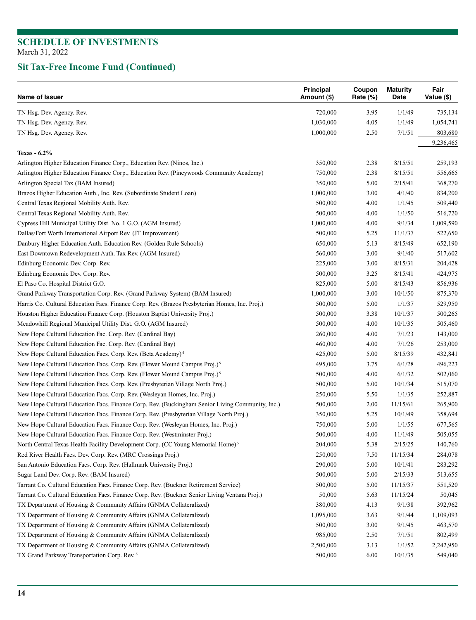| Name of Issuer                                                                                               | Principal<br>Amount (\$) | Coupon<br>Rate $(\%)$ | <b>Maturity</b><br>Date | Fair<br>Value (\$) |
|--------------------------------------------------------------------------------------------------------------|--------------------------|-----------------------|-------------------------|--------------------|
| TN Hsg. Dev. Agency. Rev.                                                                                    | 720,000                  | 3.95                  | 1/1/49                  | 735,134            |
| TN Hsg. Dev. Agency. Rev.                                                                                    | 1,030,000                | 4.05                  | 1/1/49                  | 1,054,741          |
| TN Hsg. Dev. Agency. Rev.                                                                                    | 1,000,000                | 2.50                  | 7/1/51                  | 803,680            |
|                                                                                                              |                          |                       |                         | 9,236,465          |
| Texas - 6.2%                                                                                                 |                          |                       |                         |                    |
| Arlington Higher Education Finance Corp., Education Rev. (Ninos, Inc.)                                       | 350,000                  | 2.38                  | 8/15/51                 | 259,193            |
| Arlington Higher Education Finance Corp., Education Rev. (Pineywoods Community Academy)                      | 750,000                  | 2.38                  | 8/15/51                 | 556,665            |
| Arlington Special Tax (BAM Insured)                                                                          | 350,000                  | 5.00                  | 2/15/41                 | 368,270            |
| Brazos Higher Education Auth., Inc. Rev. (Subordinate Student Loan)                                          | 1,000,000                | 3.00                  | 4/1/40                  | 834,200            |
| Central Texas Regional Mobility Auth. Rev.                                                                   | 500,000                  | 4.00                  | 1/1/45                  | 509,440            |
| Central Texas Regional Mobility Auth. Rev.                                                                   | 500,000                  | 4.00                  | 1/1/50                  | 516,720            |
| Cypress Hill Municipal Utility Dist. No. 1 G.O. (AGM Insured)                                                | 1,000,000                | 4.00                  | 9/1/34                  | 1,009,590          |
| Dallas/Fort Worth International Airport Rev. (JT Improvement)                                                | 500,000                  | 5.25                  | 11/1/37                 | 522,650            |
| Danbury Higher Education Auth. Education Rev. (Golden Rule Schools)                                          | 650,000                  | 5.13                  | 8/15/49                 | 652,190            |
| East Downtown Redevelopment Auth. Tax Rev. (AGM Insured)                                                     | 560,000                  | 3.00                  | 9/1/40                  | 517,602            |
| Edinburg Economic Dev. Corp. Rev.                                                                            | 225,000                  | 3.00                  | 8/15/31                 | 204,428            |
| Edinburg Economic Dev. Corp. Rev.                                                                            | 500,000                  | 3.25                  | 8/15/41                 | 424,975            |
| El Paso Co. Hospital District G.O.                                                                           | 825,000                  | 5.00                  | 8/15/43                 | 856,936            |
| Grand Parkway Transportation Corp. Rev. (Grand Parkway System) (BAM Insured)                                 | 1,000,000                | 3.00                  | 10/1/50                 | 875,370            |
| Harris Co. Cultural Education Facs. Finance Corp. Rev. (Brazos Presbyterian Homes, Inc. Proj.)               | 500,000                  | 5.00                  | 1/1/37                  | 529,950            |
| Houston Higher Education Finance Corp. (Houston Baptist University Proj.)                                    | 500,000                  | 3.38                  | 10/1/37                 | 500,265            |
| Meadowhill Regional Municipal Utility Dist. G.O. (AGM Insured)                                               | 500,000                  | 4.00                  | 10/1/35                 | 505,460            |
| New Hope Cultural Education Fac. Corp. Rev. (Cardinal Bay)                                                   | 260,000                  | 4.00                  | 7/1/23                  | 143,000            |
| New Hope Cultural Education Fac. Corp. Rev. (Cardinal Bay)                                                   | 460,000                  | 4.00                  | 7/1/26                  | 253,000            |
| New Hope Cultural Education Facs. Corp. Rev. (Beta Academy) <sup>4</sup>                                     | 425,000                  | 5.00                  | 8/15/39                 | 432,841            |
| New Hope Cultural Education Facs. Corp. Rev. (Flower Mound Campus Proj.) <sup>9</sup>                        | 495,000                  | 3.75                  | 6/1/28                  | 496,223            |
| New Hope Cultural Education Facs. Corp. Rev. (Flower Mound Campus Proj.) <sup>9</sup>                        | 500,000                  | 4.00                  | 6/1/32                  | 502,060            |
| New Hope Cultural Education Facs. Corp. Rev. (Presbyterian Village North Proj.)                              | 500,000                  | 5.00                  | 10/1/34                 | 515,070            |
| New Hope Cultural Education Facs. Corp. Rev. (Wesleyan Homes, Inc. Proj.)                                    | 250,000                  | 5.50                  | 1/1/35                  | 252,887            |
| New Hope Cultural Education Facs. Finance Corp. Rev. (Buckingham Senior Living Community, Inc.) <sup>1</sup> | 500,000                  | 2.00                  | 11/15/61                | 265,900            |
| New Hope Cultural Education Facs. Finance Corp. Rev. (Presbyterian Village North Proj.)                      | 350,000                  | 5.25                  | 10/1/49                 | 358,694            |
| New Hope Cultural Education Facs. Finance Corp. Rev. (Wesleyan Homes, Inc. Proj.)                            | 750,000                  | 5.00                  | 1/1/55                  | 677,565            |
| New Hope Cultural Education Facs. Finance Corp. Rev. (Westminster Proj.)                                     | 500,000                  | 4.00                  | 11/1/49                 | 505,055            |
| North Central Texas Health Facility Development Corp. (CC Young Memorial Home) <sup>5</sup>                  | 204,000                  | 5.38                  | 2/15/25                 | 140,760            |
| Red River Health Facs. Dev. Corp. Rev. (MRC Crossings Proj.)                                                 | 250,000                  | 7.50                  | 11/15/34                | 284,078            |
| San Antonio Education Facs. Corp. Rev. (Hallmark University Proj.)                                           | 290,000                  | 5.00                  | 10/1/41                 | 283,292            |
| Sugar Land Dev. Corp. Rev. (BAM Insured)                                                                     | 500,000                  | 5.00                  | 2/15/33                 | 513,655            |
| Tarrant Co. Cultural Education Facs. Finance Corp. Rev. (Buckner Retirement Service)                         | 500,000                  | 5.00                  | 11/15/37                | 551,520            |
| Tarrant Co. Cultural Education Facs. Finance Corp. Rev. (Buckner Senior Living Ventana Proj.)                | 50,000                   | 5.63                  | 11/15/24                | 50,045             |
| TX Department of Housing & Community Affairs (GNMA Collateralized)                                           | 380,000                  | 4.13                  | 9/1/38                  | 392,962            |
| TX Department of Housing & Community Affairs (GNMA Collateralized)                                           | 1,095,000                | 3.63                  | 9/1/44                  | 1,109,093          |
| TX Department of Housing & Community Affairs (GNMA Collateralized)                                           | 500,000                  | 3.00                  | 9/1/45                  | 463,570            |
| TX Department of Housing & Community Affairs (GNMA Collateralized)                                           | 985,000                  | 2.50                  | 7/1/51                  | 802,499            |
| TX Department of Housing & Community Affairs (GNMA Collateralized)                                           | 2,500,000                | 3.13                  | 1/1/52                  | 2,242,950          |
| TX Grand Parkway Transportation Corp. Rev. <sup>6</sup>                                                      | 500,000                  | 6.00                  | 10/1/35                 | 549,040            |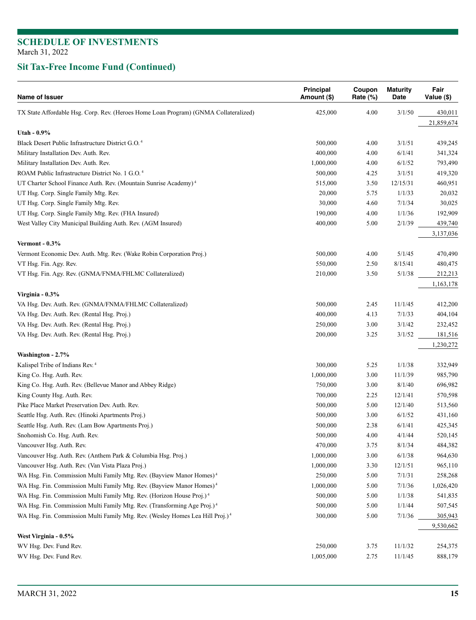| Name of Issuer                                                                            | Principal<br>Amount (\$) | Coupon<br>Rate (%) | <b>Maturity</b><br>Date | Fair<br>Value (\$)   |
|-------------------------------------------------------------------------------------------|--------------------------|--------------------|-------------------------|----------------------|
| TX State Affordable Hsg. Corp. Rev. (Heroes Home Loan Program) (GNMA Collateralized)      | 425,000                  | 4.00               | 3/1/50                  | 430,011              |
|                                                                                           |                          |                    |                         | 21,859,674           |
| Utah - 0.9%                                                                               |                          |                    |                         |                      |
| Black Desert Public Infrastructure District G.O. <sup>4</sup>                             | 500,000                  | 4.00               | 3/1/51                  | 439,245              |
| Military Installation Dev. Auth. Rev.                                                     | 400,000                  | 4.00               | 6/1/41                  | 341,324              |
| Military Installation Dev. Auth. Rev.                                                     | 1,000,000                | 4.00               | 6/1/52                  | 793,490              |
| ROAM Public Infrastructure District No. 1 G.O. <sup>4</sup>                               | 500,000                  | 4.25               | 3/1/51                  | 419,320              |
| UT Charter School Finance Auth. Rev. (Mountain Sunrise Academy) <sup>4</sup>              | 515,000                  | 3.50               | 12/15/31                | 460,951              |
| UT Hsg. Corp. Single Family Mtg. Rev.                                                     | 20,000                   | 5.75               | 1/1/33                  | 20,032               |
| UT Hsg. Corp. Single Family Mtg. Rev.                                                     | 30,000                   | 4.60               | 7/1/34                  | 30,025               |
| UT Hsg. Corp. Single Family Mtg. Rev. (FHA Insured)                                       | 190,000                  | 4.00               | 1/1/36                  | 192,909              |
| West Valley City Municipal Building Auth. Rev. (AGM Insured)                              | 400,000                  | 5.00               | 2/1/39                  | 439,740              |
|                                                                                           |                          |                    |                         | 3,137,036            |
| Vermont - $0.3\%$                                                                         |                          |                    |                         |                      |
| Vermont Economic Dev. Auth. Mtg. Rev. (Wake Robin Corporation Proj.)                      | 500,000                  | 4.00               | 5/1/45                  | 470,490              |
| VT Hsg. Fin. Agy. Rev.                                                                    | 550,000                  | 2.50               | 8/15/41                 | 480,475              |
| VT Hsg. Fin. Agy. Rev. (GNMA/FNMA/FHLMC Collateralized)                                   | 210,000                  | 3.50               | 5/1/38                  | 212,213              |
|                                                                                           |                          |                    |                         | 1,163,178            |
| Virginia - 0.3%                                                                           |                          |                    |                         |                      |
| VA Hsg. Dev. Auth. Rev. (GNMA/FNMA/FHLMC Collateralized)                                  | 500,000                  | 2.45               | 11/1/45                 | 412,200              |
| VA Hsg. Dev. Auth. Rev. (Rental Hsg. Proj.)                                               | 400,000                  | 4.13               | 7/1/33                  | 404,104              |
| VA Hsg. Dev. Auth. Rev. (Rental Hsg. Proj.)                                               | 250,000                  | 3.00               | 3/1/42                  | 232,452              |
| VA Hsg. Dev. Auth. Rev. (Rental Hsg. Proj.)                                               | 200,000                  | 3.25               | 3/1/52                  | 181,516<br>1,230,272 |
| Washington - 2.7%                                                                         |                          |                    |                         |                      |
| Kalispel Tribe of Indians Rev. <sup>4</sup>                                               | 300,000                  | 5.25               | 1/1/38                  | 332,949              |
| King Co. Hsg. Auth. Rev.                                                                  | 1,000,000                | 3.00               | 11/1/39                 | 985,790              |
| King Co. Hsg. Auth. Rev. (Bellevue Manor and Abbey Ridge)                                 | 750,000                  | 3.00               | 8/1/40                  | 696,982              |
| King County Hsg. Auth. Rev.                                                               | 700,000                  | 2.25               | 12/1/41                 | 570,598              |
| Pike Place Market Preservation Dev. Auth. Rev.                                            | 500,000                  | 5.00               | 12/1/40                 | 513,560              |
| Seattle Hsg. Auth. Rev. (Hinoki Apartments Proj.)                                         | 500,000                  | 3.00               | 6/1/52                  | 431,160              |
| Seattle Hsg. Auth. Rev. (Lam Bow Apartments Proj.)                                        | 500,000                  | 2.38               | 6/1/41                  | 425,345              |
| Snohomish Co. Hsg. Auth. Rev.                                                             | 500,000                  | 4.00               | 4/1/44                  | 520,145              |
| Vancouver Hsg. Auth. Rev.                                                                 | 470,000                  | 3.75               | 8/1/34                  | 484,382              |
| Vancouver Hsg. Auth. Rev. (Anthem Park & Columbia Hsg. Proj.)                             | 1,000,000                | 3.00               | 6/1/38                  | 964,630              |
| Vancouver Hsg. Auth. Rev. (Van Vista Plaza Proj.)                                         | 1,000,000                | 3.30               | 12/1/51                 | 965,110              |
| WA Hsg. Fin. Commission Multi Family Mtg. Rev. (Bayview Manor Homes) <sup>4</sup>         | 250,000                  | 5.00               | 7/1/31                  | 258,268              |
| WA Hsg. Fin. Commission Multi Family Mtg. Rev. (Bayview Manor Homes) <sup>4</sup>         | 1,000,000                | 5.00               | 7/1/36                  | 1,026,420            |
| WA Hsg. Fin. Commission Multi Family Mtg. Rev. (Horizon House Proj.) <sup>4</sup>         | 500,000                  | 5.00               | 1/1/38                  | 541,835              |
| WA Hsg. Fin. Commission Multi Family Mtg. Rev. (Transforming Age Proj.) <sup>4</sup>      | 500,000                  | 5.00               | 1/1/44                  | 507,545              |
| WA Hsg. Fin. Commission Multi Family Mtg. Rev. (Wesley Homes Lea Hill Proj.) <sup>4</sup> | 300,000                  | 5.00               | 7/1/36                  | 305,943              |
|                                                                                           |                          |                    |                         | 9,530,662            |
| West Virginia - 0.5%                                                                      |                          |                    |                         |                      |
| WV Hsg. Dev. Fund Rev.                                                                    | 250,000                  | 3.75               | 11/1/32                 | 254,375              |
| WV Hsg. Dev. Fund Rev.                                                                    | 1,005,000                | 2.75               | 11/1/45                 | 888,179              |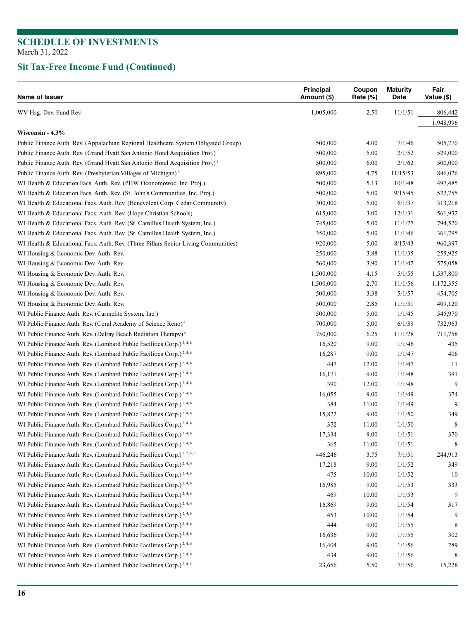| Name of Issuer                                                                           | Principal<br>Amount (\$) | Coupon<br>Rate (%) | <b>Maturity</b><br>Date | Fair<br>Value (\$) |
|------------------------------------------------------------------------------------------|--------------------------|--------------------|-------------------------|--------------------|
| WV Hsg. Dev. Fund Rev.                                                                   | 1,005,000                | 2.50               | 11/1/51                 | 806,442            |
|                                                                                          |                          |                    |                         | 1,948,996          |
| Wisconsin - 4.3%                                                                         |                          |                    |                         |                    |
| Public Finance Auth. Rev. (Appalachian Regional Healthcare System Obligated Group)       | 500,000                  | 4.00               | 7/1/46                  | 505,770            |
| Public Finance Auth. Rev. (Grand Hyatt San Antonio Hotel Acquisition Proj.)              | 500,000                  | 5.00               | 2/1/52                  | 529,000            |
| Public Finance Auth. Rev. (Grand Hyatt San Antonio Hotel Acquisition Proj.) <sup>4</sup> | 500,000                  | 6.00               | 2/1/62                  | 500,000            |
| Public Finance Auth. Rev. (Presbyterian Villages of Michigan) <sup>4</sup>               | 895,000                  | 4.75               | 11/15/53                | 846,026            |
| WI Health & Education Facs. Auth. Rev. (PHW Oconomowoc, Inc. Proj.)                      | 500,000                  | 5.13               | 10/1/48                 | 497,485            |
| WI Health & Education Facs. Auth. Rev. (St. John's Communities, Inc. Proj.)              | 500,000                  | 5.00               | 9/15/45                 | 522,755            |
| WI Health & Educational Facs. Auth. Rev. (Benevolent Corp. Cedar Community)              | 300,000                  | 5.00               | 6/1/37                  | 313,218            |
| WI Health & Educational Facs. Auth. Rev. (Hope Christian Schools)                        | 615,000                  | 3.00               | 12/1/31                 | 561,932            |
| WI Health & Educational Facs. Auth. Rev. (St. Camillus Health System, Inc.)              | 745,000                  | 5.00               | 11/1/27                 | 794,520            |
| WI Health & Educational Facs. Auth. Rev. (St. Camillus Health System, Inc.)              | 350,000                  | 5.00               | 11/1/46                 | 361,795            |
| WI Health & Educational Facs. Auth. Rev. (Three Pillars Senior Living Communities)       | 920,000                  | 5.00               | 8/15/43                 | 960,397            |
| WI Housing & Economic Dev. Auth. Rev.                                                    | 250,000                  | 3.88               | 11/1/35                 | 255,925            |
| WI Housing & Economic Dev. Auth. Rev.                                                    | 560,000                  | 3.90               | 11/1/42                 | 575,058            |
| WI Housing & Economic Dev. Auth. Rev.                                                    | 1,500,000                | 4.15               | 5/1/55                  | 1,537,800          |
| WI Housing & Economic Dev. Auth. Rev.                                                    | 1,500,000                | 2.70               | 11/1/56                 | 1,172,355          |
| WI Housing & Economic Dev. Auth. Rev.                                                    | 500,000                  | 3.38               | 5/1/57                  | 454,705            |
| WI Housing & Economic Dev. Auth. Rev.                                                    | 500,000                  | 2.85               | 11/1/51                 | 409,120            |
| WI Public Finance Auth. Rev. (Carmelite System, Inc.)                                    | 500,000                  | 5.00               | 1/1/45                  | 545,970            |
| WI Public Finance Auth. Rev. (Coral Academy of Science Reno) <sup>4</sup>                | 700,000                  | 5.00               | 6/1/39                  | 732,963            |
| WI Public Finance Auth. Rev. (Delray Beach Radiation Therapy) <sup>4</sup>               | 750,000                  | 6.25               | 11/1/28                 | 711,758            |
|                                                                                          |                          |                    | 1/1/46                  |                    |
| WI Public Finance Auth. Rev. (Lombard Public Facilities Corp.) <sup>2,4,6</sup>          | 16,520                   | 9.00               |                         | 435                |
| WI Public Finance Auth. Rev. (Lombard Public Facilities Corp.) <sup>2,4,6</sup>          | 16,287                   | 9.00               | 1/1/47                  | 406                |
| WI Public Finance Auth. Rev. (Lombard Public Facilities Corp.) <sup>2,4,6</sup>          | 447                      | 12.00              | 1/1/47                  | 11                 |
| WI Public Finance Auth. Rev. (Lombard Public Facilities Corp.) <sup>2,4,6</sup>          | 16,171                   | 9.00               | 1/1/48                  | 391                |
| WI Public Finance Auth. Rev. (Lombard Public Facilities Corp.) <sup>2,4,6</sup>          | 390                      | 12.00              | 1/1/48                  | 9                  |
| WI Public Finance Auth. Rev. (Lombard Public Facilities Corp.) <sup>2,4,6</sup>          | 16,055                   | 9.00               | 1/1/49                  | 374                |
| WI Public Finance Auth. Rev. (Lombard Public Facilities Corp.) <sup>2,4,6</sup>          | 384                      | 11.00              | 1/1/49                  | 9                  |
| WI Public Finance Auth. Rev. (Lombard Public Facilities Corp.) <sup>2,4,6</sup>          | 15,822                   | 9.00               | 1/1/50                  | 349                |
| WI Public Finance Auth. Rev. (Lombard Public Facilities Corp.) <sup>2,4,6</sup>          | 372                      | 11.00              | 1/1/50                  | 8                  |
| WI Public Finance Auth. Rev. (Lombard Public Facilities Corp.) <sup>2,4,6</sup>          | 17,334                   | 9.00               | 1/1/51                  | 370                |
| WI Public Finance Auth. Rev. (Lombard Public Facilities Corp.) <sup>2,4,6</sup>          | 365                      | 11.00              | 1/1/51                  | 8                  |
| WI Public Finance Auth. Rev. (Lombard Public Facilities Corp.) <sup>1,2,4,5</sup>        | 446,246                  | 3.75               | 7/1/51                  | 244,913            |
| WI Public Finance Auth. Rev. (Lombard Public Facilities Corp.) <sup>2, 4, 6</sup>        | 17,218                   | 9.00               | 1/1/52                  | 349                |
| WI Public Finance Auth. Rev. (Lombard Public Facilities Corp.) <sup>2, 4, 6</sup>        | 475                      | 10.00              | 1/1/52                  | 10                 |
| WI Public Finance Auth. Rev. (Lombard Public Facilities Corp.) <sup>2,4,6</sup>          | 16,985                   | 9.00               | 1/1/53                  | 333                |
| WI Public Finance Auth. Rev. (Lombard Public Facilities Corp.) <sup>2, 4, 6</sup>        | 469                      | 10.00              | 1/1/53                  | 9                  |
| WI Public Finance Auth. Rev. (Lombard Public Facilities Corp.) <sup>2,4,6</sup>          | 16,869                   | 9.00               | 1/1/54                  | 317                |
| WI Public Finance Auth. Rev. (Lombard Public Facilities Corp.) <sup>2,4,6</sup>          | 453                      | 10.00              | 1/1/54                  | 9                  |
| WI Public Finance Auth. Rev. (Lombard Public Facilities Corp.) <sup>2,4,6</sup>          | 444                      | 9.00               | 1/1/55                  | 8                  |
| WI Public Finance Auth. Rev. (Lombard Public Facilities Corp.) <sup>2,4,6</sup>          | 16,636                   | 9.00               | 1/1/55                  | 302                |
| WI Public Finance Auth. Rev. (Lombard Public Facilities Corp.) <sup>2,4,6</sup>          | 16,404                   | 9.00               | 1/1/56                  | 289                |
| WI Public Finance Auth. Rev. (Lombard Public Facilities Corp.) <sup>2,4,6</sup>          | 434                      | 9.00               | 1/1/56                  | 8                  |
| WI Public Finance Auth. Rev. (Lombard Public Facilities Corp.) <sup>2,4,5</sup>          | 23,656                   | 5.50               | 7/1/56                  | 15,228             |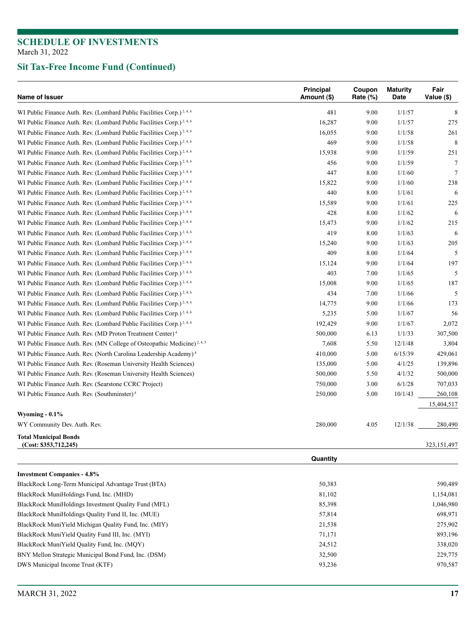| Name of Issuer                                                                       | <b>Principal</b><br>Amount (\$) | Coupon<br>Rate $(\%)$ | <b>Maturity</b><br>Date | Fair<br>Value (\$) |
|--------------------------------------------------------------------------------------|---------------------------------|-----------------------|-------------------------|--------------------|
| WI Public Finance Auth. Rev. (Lombard Public Facilities Corp.) <sup>2,4,6</sup>      | 481                             | 9.00                  | 1/1/57                  | 8                  |
| WI Public Finance Auth. Rev. (Lombard Public Facilities Corp.) <sup>2,4,6</sup>      | 16,287                          | 9.00                  | 1/1/57                  | 275                |
| WI Public Finance Auth. Rev. (Lombard Public Facilities Corp.) <sup>2,4,6</sup>      | 16,055                          | 9.00                  | 1/1/58                  | 261                |
| WI Public Finance Auth. Rev. (Lombard Public Facilities Corp.) <sup>2,4,6</sup>      | 469                             | 9.00                  | 1/1/58                  | 8                  |
| WI Public Finance Auth. Rev. (Lombard Public Facilities Corp.) <sup>2,4,6</sup>      | 15,938                          | 9.00                  | 1/1/59                  | 251                |
| WI Public Finance Auth. Rev. (Lombard Public Facilities Corp.) <sup>2,4,6</sup>      | 456                             | 9.00                  | 1/1/59                  | $\tau$             |
| WI Public Finance Auth. Rev. (Lombard Public Facilities Corp.) <sup>2, 4, 6</sup>    | 447                             | 8.00                  | 1/1/60                  | $\overline{7}$     |
| WI Public Finance Auth. Rev. (Lombard Public Facilities Corp.) <sup>2,4,6</sup>      | 15,822                          | 9.00                  | 1/1/60                  | 238                |
| WI Public Finance Auth. Rev. (Lombard Public Facilities Corp.) <sup>2,4,6</sup>      | 440                             | 8.00                  | 1/1/61                  | 6                  |
| WI Public Finance Auth. Rev. (Lombard Public Facilities Corp.) <sup>2,4,6</sup>      | 15,589                          | 9.00                  | 1/1/61                  | 225                |
| WI Public Finance Auth. Rev. (Lombard Public Facilities Corp.) <sup>2, 4, 6</sup>    | 428                             | 8.00                  | 1/1/62                  | 6                  |
| WI Public Finance Auth. Rev. (Lombard Public Facilities Corp.) <sup>2,4,6</sup>      | 15,473                          | 9.00                  | 1/1/62                  | 215                |
| WI Public Finance Auth. Rev. (Lombard Public Facilities Corp.) <sup>2, 4, 6</sup>    | 419                             | 8.00                  | 1/1/63                  | 6                  |
| WI Public Finance Auth. Rev. (Lombard Public Facilities Corp.) <sup>2,4,6</sup>      | 15,240                          | 9.00                  | 1/1/63                  | 205                |
| WI Public Finance Auth. Rev. (Lombard Public Facilities Corp.) <sup>2,4,6</sup>      | 409                             | 8.00                  | 1/1/64                  | 5                  |
| WI Public Finance Auth. Rev. (Lombard Public Facilities Corp.) <sup>2, 4, 6</sup>    | 15,124                          | 9.00                  | 1/1/64                  | 197                |
| WI Public Finance Auth. Rev. (Lombard Public Facilities Corp.) <sup>2,4,6</sup>      | 403                             | 7.00                  | 1/1/65                  | 5                  |
| WI Public Finance Auth. Rev. (Lombard Public Facilities Corp.) <sup>2, 4, 6</sup>    | 15,008                          | 9.00                  | 1/1/65                  | 187                |
| WI Public Finance Auth. Rev. (Lombard Public Facilities Corp.) <sup>2,4,6</sup>      | 434                             | 7.00                  | 1/1/66                  | 5                  |
| WI Public Finance Auth. Rev. (Lombard Public Facilities Corp.) <sup>2,4,6</sup>      | 14,775                          | 9.00                  | 1/1/66                  | 173                |
| WI Public Finance Auth. Rev. (Lombard Public Facilities Corp.) <sup>2,4,6</sup>      | 5,235                           | 5.00                  | 1/1/67                  | 56                 |
| WI Public Finance Auth. Rev. (Lombard Public Facilities Corp.) <sup>2, 4, 6</sup>    | 192,429                         | 9.00                  | 1/1/67                  | 2,072              |
| WI Public Finance Auth. Rev. (MD Proton Treatment Center) <sup>4</sup>               | 500,000                         | 6.13                  | 1/1/33                  | 307,500            |
| WI Public Finance Auth. Rev. (MN College of Osteopathic Medicine) <sup>2, 4, 5</sup> | 7,608                           | 5.50                  | 12/1/48                 | 3,804              |
| WI Public Finance Auth. Rev. (North Carolina Leadership Academy) <sup>4</sup>        | 410,000                         | 5.00                  | 6/15/39                 | 429,061            |
| WI Public Finance Auth. Rev. (Roseman University Health Sciences)                    | 135,000                         | 5.00                  | 4/1/25                  | 139,896            |
| WI Public Finance Auth. Rev. (Roseman University Health Sciences)                    | 500,000                         | 5.50                  | 4/1/32                  | 500,000            |
| WI Public Finance Auth. Rev. (Searstone CCRC Project)                                | 750,000                         | 3.00                  | 6/1/28                  | 707,033            |
| WI Public Finance Auth. Rev. (Southminster) <sup>4</sup>                             | 250,000                         | 5.00                  | 10/1/43                 | 260,108            |
|                                                                                      |                                 |                       |                         | 15,404,517         |
| Wyoming $-0.1\%$                                                                     |                                 |                       |                         |                    |
| WY Community Dev. Auth. Rev.                                                         | 280,000                         | 4.05                  | 12/1/38                 | 280,490            |
| <b>Total Municipal Bonds</b><br>(Cost: \$353,712,245)                                |                                 |                       |                         | 323,151,497        |
|                                                                                      | Quantity                        |                       |                         |                    |

| <b>Investment Companies - 4.8%</b>                    |        |           |
|-------------------------------------------------------|--------|-----------|
| BlackRock Long-Term Municipal Advantage Trust (BTA)   | 50,383 | 590,489   |
| BlackRock MuniHoldings Fund, Inc. (MHD)               | 81.102 | 1,154,081 |
| BlackRock MuniHoldings Investment Quality Fund (MFL)  | 85,398 | 1,046,980 |
| BlackRock MuniHoldings Quality Fund II, Inc. (MUE)    | 57,814 | 698.971   |
| BlackRock MuniYield Michigan Quality Fund, Inc. (MIY) | 21,538 | 275,902   |
| BlackRock MuniYield Quality Fund III, Inc. (MYI)      | 71,171 | 893,196   |
| BlackRock MuniYield Quality Fund, Inc. (MQY)          | 24,512 | 338,020   |
| BNY Mellon Strategic Municipal Bond Fund, Inc. (DSM)  | 32,500 | 229,775   |
| DWS Municipal Income Trust (KTF)                      | 93,236 | 970,587   |
|                                                       |        |           |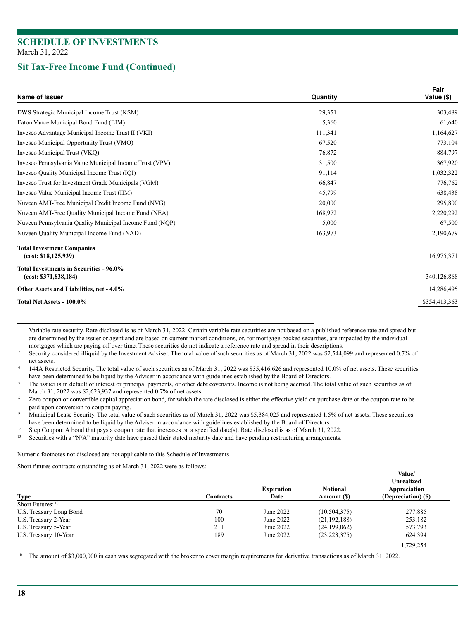#### **Sit Tax-Free Income Fund (Continued)**

| Name of Issuer                                                   | Quantity | Fair<br>Value (\$) |
|------------------------------------------------------------------|----------|--------------------|
| DWS Strategic Municipal Income Trust (KSM)                       | 29.351   | 303,489            |
| Eaton Vance Municipal Bond Fund (EIM)                            | 5,360    | 61,640             |
| Invesco Advantage Municipal Income Trust II (VKI)                | 111,341  | 1,164,627          |
| Invesco Municipal Opportunity Trust (VMO)                        | 67,520   | 773,104            |
| Invesco Municipal Trust (VKQ)                                    | 76,872   | 884,797            |
| Invesco Pennsylvania Value Municipal Income Trust (VPV)          | 31,500   | 367,920            |
| Invesco Quality Municipal Income Trust (IQI)                     | 91,114   | 1,032,322          |
| Invesco Trust for Investment Grade Municipals (VGM)              | 66,847   | 776,762            |
| Invesco Value Municipal Income Trust (IIM)                       | 45,799   | 638,438            |
| Nuveen AMT-Free Municipal Credit Income Fund (NVG)               | 20,000   | 295,800            |
| Nuveen AMT-Free Quality Municipal Income Fund (NEA)              | 168,972  | 2,220,292          |
| Nuveen Pennsylvania Quality Municipal Income Fund (NQP)          | 5,000    | 67,500             |
| Nuveen Quality Municipal Income Fund (NAD)                       | 163,973  | 2,190,679          |
| <b>Total Investment Companies</b><br>(cost: \$18,125,939)        |          | 16,975,371         |
| Total Investments in Securities - 96.0%<br>(cost: \$371,838,184) |          | 340,126,868        |
| Other Assets and Liabilities, net - 4.0%                         |          | 14,286,495         |
| Total Net Assets - 100.0%                                        |          | \$354,413,363      |
|                                                                  |          |                    |

Variable rate security. Rate disclosed is as of March 31, 2022. Certain variable rate securities are not based on a published reference rate and spread but are determined by the issuer or agent and are based on current market conditions, or, for mortgage-backed securities, are impacted by the individual

mortgages which are paying off over time. These securities do not indicate a reference rate and spread in their descriptions.<br>Security considered illiquid by the Investment Adviser. The total value of such securities as of

net assets.<br>144A Restricted Security. The total value of such securities as of March 31, 2022 was \$35,416,626 and represented 10.0% of net assets. These securities<br>have been determined to be liquid by the Adviser in accord

The issuer is in default of interest or principal payments, or other debt covenants. Income is not being accrued. The total value of such securities as of

March 31, 2022 was \$2,623,937 and represented 0.7% of net assets.<br>Zero coupon or convertible capital appreciation bond, for which the rate disclosed is either the effective yield on purchase date or the coupon rate to be paid upon conversion to coupon paying.<br>Municipal Lease Security. The total value of such securities as of March 31, 2022 was \$5,384,025 and represented 1.5% of net assets. These securities

have been determined to be liquid by the Adviser in accordance with guidelines established by the Board of Directors.<br><sup>14</sup> Step Coupon: A bond that pays a coupon rate that increases on a specified date(s). Rate disclosed i

<sup>15</sup> Securities with a "N/A" maturity date have passed their stated maturity date and have pending restructuring arrangements.

Numeric footnotes not disclosed are not applicable to this Schedule of Investments*.*

Short futures contracts outstanding as of March 31, 2022 were as follows:

| <b>Type</b>             | Contracts | <b>Expiration</b><br>Date | <b>Notional</b><br>Amount (\$) | <b>Unrealized</b><br>Appreciation<br>(Depreciation) (\$) |
|-------------------------|-----------|---------------------------|--------------------------------|----------------------------------------------------------|
| Short Futures: 10       |           |                           |                                |                                                          |
| U.S. Treasury Long Bond | 70        | June 2022                 | (10, 504, 375)                 | 277,885                                                  |
| U.S. Treasury 2-Year    | 100       | June 2022                 | (21, 192, 188)                 | 253,182                                                  |
| U.S. Treasury 5-Year    | 211       | June 2022                 | (24, 199, 062)                 | 573,793                                                  |
| U.S. Treasury 10-Year   | 189       | June 2022                 | (23, 223, 375)                 | 624,394                                                  |
|                         |           |                           |                                | 1,729,254                                                |

**Value/**

<sup>10</sup> The amount of \$3,000,000 in cash was segregated with the broker to cover margin requirements for derivative transactions as of March 31, 2022.